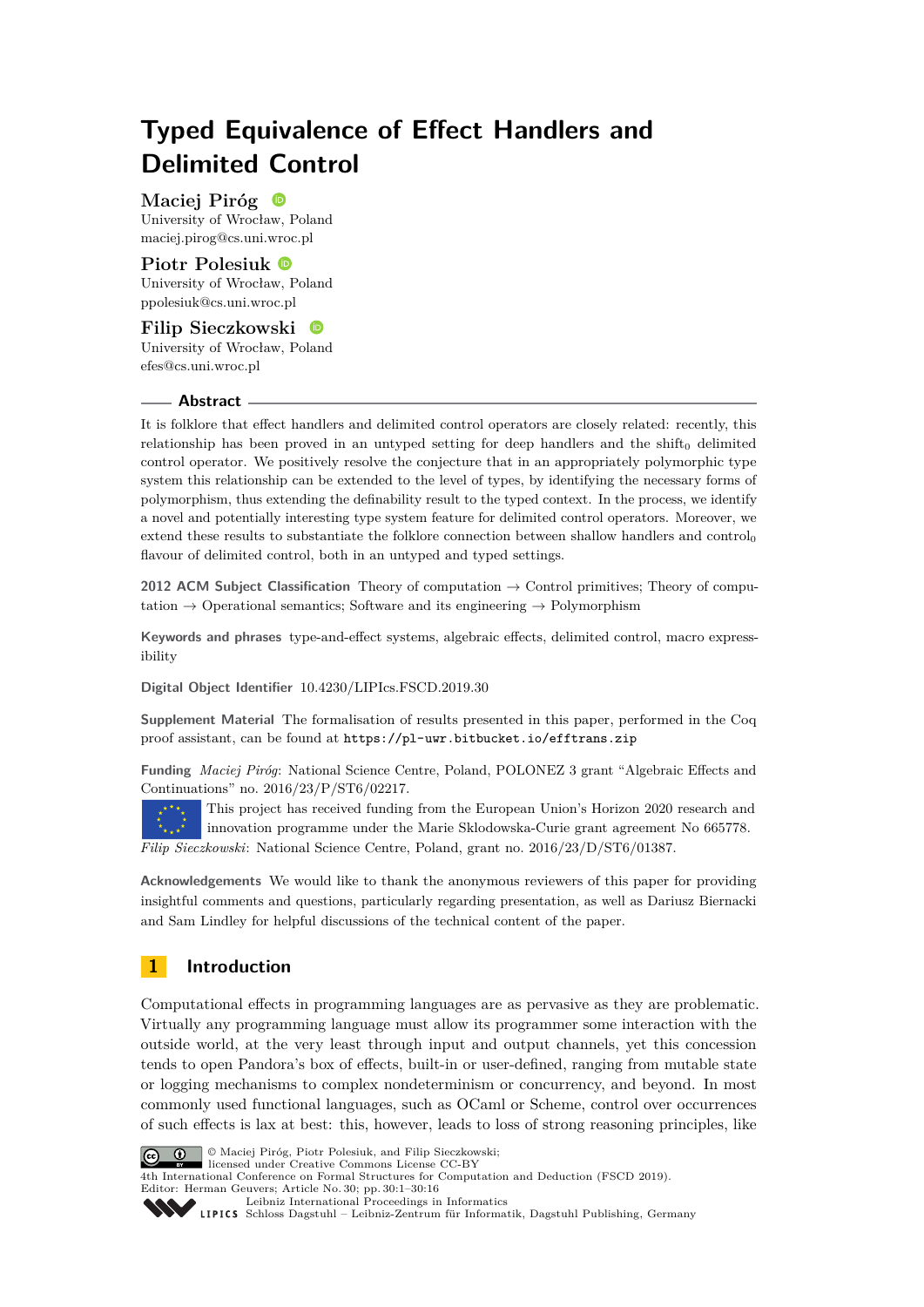# **Typed Equivalence of Effect Handlers and Delimited Control**

**Maciej Piróg** University of Wrocław, Poland [maciej.pirog@cs.uni.wroc.pl](mailto:maciej.pirog@cs.uni.wroc.pl)

# **Piotr Polesiuk**

University of Wrocław, Poland [ppolesiuk@cs.uni.wroc.pl](mailto:ppolesiuk@cs.uni.wroc.pl)

## **Filip Sieczkowski** University of Wrocław, Poland [efes@cs.uni.wroc.pl](mailto:efes@cs.uni.wroc.pl)

## **Abstract**

It is folklore that effect handlers and delimited control operators are closely related: recently, this relationship has been proved in an untyped setting for deep handlers and the shift $_0$  delimited control operator. We positively resolve the conjecture that in an appropriately polymorphic type system this relationship can be extended to the level of types, by identifying the necessary forms of polymorphism, thus extending the definability result to the typed context. In the process, we identify a novel and potentially interesting type system feature for delimited control operators. Moreover, we extend these results to substantiate the folklore connection between shallow handlers and control flavour of delimited control, both in an untyped and typed settings.

**2012 ACM Subject Classification** Theory of computation → Control primitives; Theory of computation  $\rightarrow$  Operational semantics; Software and its engineering  $\rightarrow$  Polymorphism

**Keywords and phrases** type-and-effect systems, algebraic effects, delimited control, macro expressibility

**Digital Object Identifier** [10.4230/LIPIcs.FSCD.2019.30](https://doi.org/10.4230/LIPIcs.FSCD.2019.30)

**Supplement Material** The formalisation of results presented in this paper, performed in the Coq proof assistant, can be found at <https://pl-uwr.bitbucket.io/efftrans.zip>

**Funding** *Maciej Piróg*: National Science Centre, Poland, POLONEZ 3 grant "Algebraic Effects and Continuations" no. 2016/23/P/ST6/02217.

This project has received funding from the European Union's Horizon 2020 research and innovation programme under the Marie Sklodowska-Curie grant agreement No 665778. *Filip Sieczkowski*: National Science Centre, Poland, grant no. 2016/23/D/ST6/01387.

**Acknowledgements** We would like to thank the anonymous reviewers of this paper for providing insightful comments and questions, particularly regarding presentation, as well as Dariusz Biernacki and Sam Lindley for helpful discussions of the technical content of the paper.

# **1 Introduction**

Computational effects in programming languages are as pervasive as they are problematic. Virtually any programming language must allow its programmer some interaction with the outside world, at the very least through input and output channels, yet this concession tends to open Pandora's box of effects, built-in or user-defined, ranging from mutable state or logging mechanisms to complex nondeterminism or concurrency, and beyond. In most commonly used functional languages, such as OCaml or Scheme, control over occurrences of such effects is lax at best: this, however, leads to loss of strong reasoning principles, like



© Maciej Piróg, Piotr Polesiuk, and Filip Sieczkowski;

licensed under Creative Commons License CC-BY 4th International Conference on Formal Structures for Computation and Deduction (FSCD 2019). Editor: Herman Geuvers; Article No. 30; pp. 30:1–30[:16](#page-15-0)

[Leibniz International Proceedings in Informatics](https://www.dagstuhl.de/lipics/)

[Schloss Dagstuhl – Leibniz-Zentrum für Informatik, Dagstuhl Publishing, Germany](https://www.dagstuhl.de)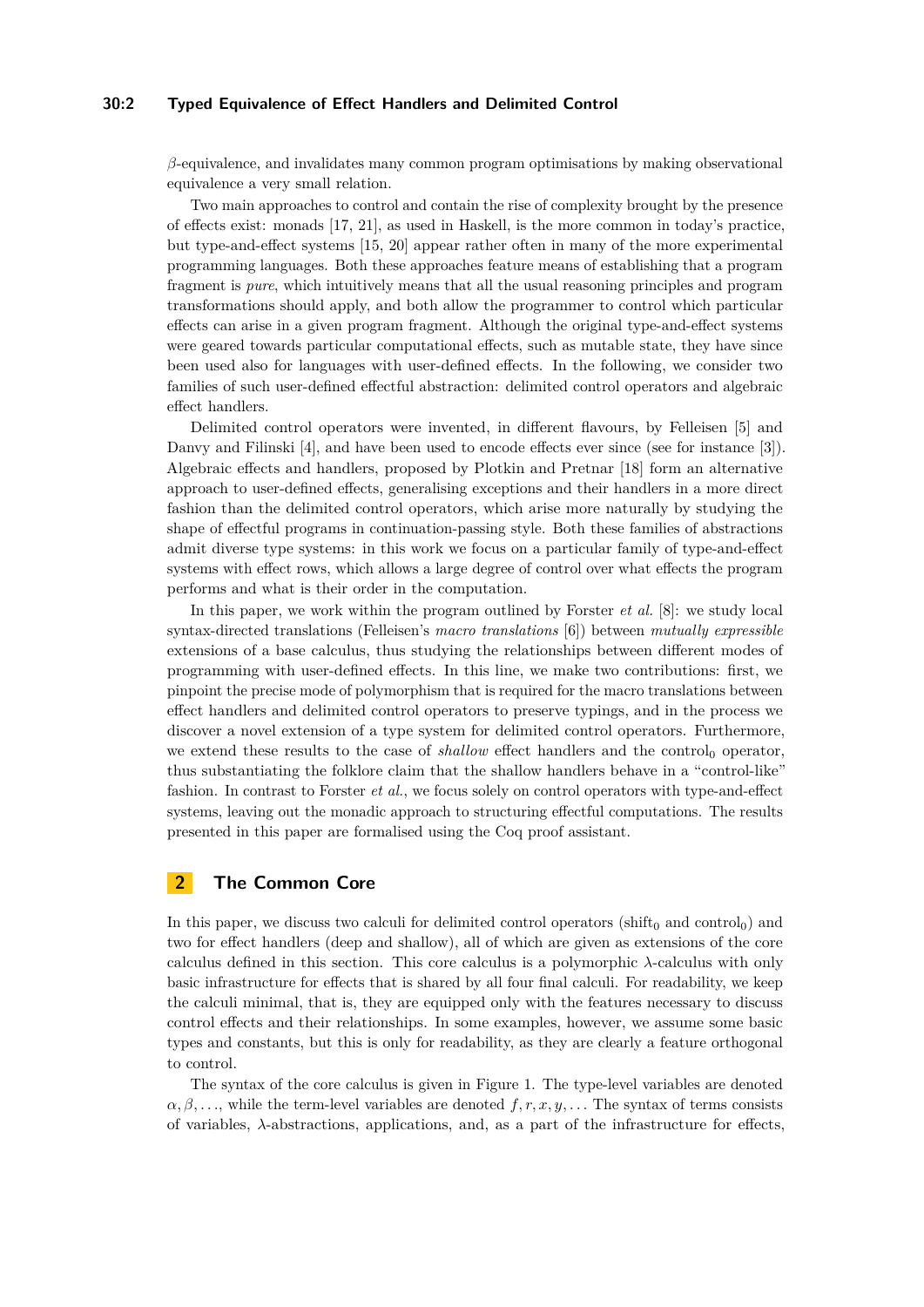# **30:2 Typed Equivalence of Effect Handlers and Delimited Control**

*β*-equivalence, and invalidates many common program optimisations by making observational equivalence a very small relation.

Two main approaches to control and contain the rise of complexity brought by the presence of effects exist: monads [\[17,](#page-15-1) [21\]](#page-15-2), as used in Haskell, is the more common in today's practice, but type-and-effect systems [\[15,](#page-15-3) [20\]](#page-15-4) appear rather often in many of the more experimental programming languages. Both these approaches feature means of establishing that a program fragment is *pure*, which intuitively means that all the usual reasoning principles and program transformations should apply, and both allow the programmer to control which particular effects can arise in a given program fragment. Although the original type-and-effect systems were geared towards particular computational effects, such as mutable state, they have since been used also for languages with user-defined effects. In the following, we consider two families of such user-defined effectful abstraction: delimited control operators and algebraic effect handlers.

Delimited control operators were invented, in different flavours, by Felleisen [\[5\]](#page-14-0) and Danvy and Filinski [\[4\]](#page-14-1), and have been used to encode effects ever since (see for instance [\[3\]](#page-14-2)). Algebraic effects and handlers, proposed by Plotkin and Pretnar [\[18\]](#page-15-5) form an alternative approach to user-defined effects, generalising exceptions and their handlers in a more direct fashion than the delimited control operators, which arise more naturally by studying the shape of effectful programs in continuation-passing style. Both these families of abstractions admit diverse type systems: in this work we focus on a particular family of type-and-effect systems with effect rows, which allows a large degree of control over what effects the program performs and what is their order in the computation.

In this paper, we work within the program outlined by Forster *et al.* [\[8\]](#page-14-3): we study local syntax-directed translations (Felleisen's *macro translations* [\[6\]](#page-14-4)) between *mutually expressible* extensions of a base calculus, thus studying the relationships between different modes of programming with user-defined effects. In this line, we make two contributions: first, we pinpoint the precise mode of polymorphism that is required for the macro translations between effect handlers and delimited control operators to preserve typings, and in the process we discover a novel extension of a type system for delimited control operators. Furthermore, we extend these results to the case of  $shallow$  effect handlers and the control<sub>0</sub> operator, thus substantiating the folklore claim that the shallow handlers behave in a "control-like" fashion. In contrast to Forster *et al.*, we focus solely on control operators with type-and-effect systems, leaving out the monadic approach to structuring effectful computations. The results presented in this paper are formalised using the Coq proof assistant.

# **2 The Common Core**

In this paper, we discuss two calculi for delimited control operators (shift<sub>0</sub> and control<sub>0</sub>) and two for effect handlers (deep and shallow), all of which are given as extensions of the core calculus defined in this section. This core calculus is a polymorphic *λ*-calculus with only basic infrastructure for effects that is shared by all four final calculi. For readability, we keep the calculi minimal, that is, they are equipped only with the features necessary to discuss control effects and their relationships. In some examples, however, we assume some basic types and constants, but this is only for readability, as they are clearly a feature orthogonal to control.

The syntax of the core calculus is given in Figure [1.](#page-2-0) The type-level variables are denoted  $\alpha, \beta, \ldots$ , while the term-level variables are denoted  $f, r, x, y, \ldots$  The syntax of terms consists of variables, *λ*-abstractions, applications, and, as a part of the infrastructure for effects,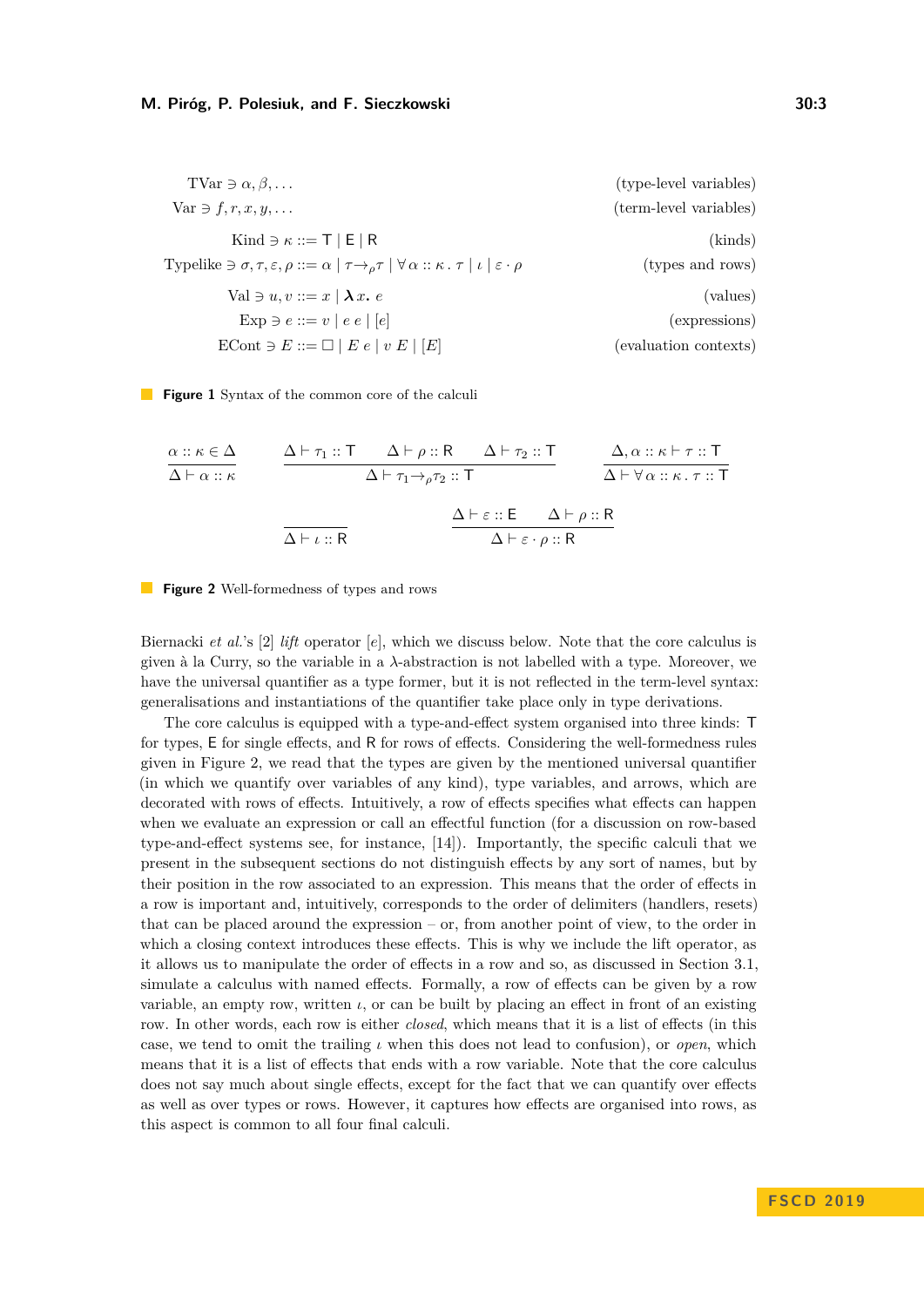<span id="page-2-0"></span>

| $\text{TVar} \ni \alpha, \beta, \dots$                                                                                                                          | (type-level variables) |
|-----------------------------------------------------------------------------------------------------------------------------------------------------------------|------------------------|
| Var $\ni$ f, r, x, y,                                                                                                                                           | (term-level variables) |
| Kind $\ni \kappa ::= \top   E   R$                                                                                                                              | (kinds)                |
| Typelike $\exists \sigma, \tau, \varepsilon, \rho ::= \alpha   \tau \rightarrow_{\rho} \tau   \forall \alpha :: \kappa . \tau   \iota   \varepsilon \cdot \rho$ | (types and rows)       |
| Val $\ni u, v ::= x \mid \lambda x$ . e                                                                                                                         | (values)               |
| $Exp \ni e ::= v \mid e \mid e \mid e$                                                                                                                          | (expressions)          |
| $\text{ECont } \ni E ::= \Box   E e   v E   [E]$                                                                                                                | (evaluation contexts)  |

<span id="page-2-1"></span>**Figure 1** Syntax of the common core of the calculi

$$
\frac{\alpha :: \kappa \in \Delta}{\Delta \vdash \alpha :: \kappa} \qquad \frac{\Delta \vdash \tau_1 :: \top \quad \Delta \vdash \rho :: \mathsf{R} \quad \Delta \vdash \tau_2 :: \top}{\Delta \vdash \tau_1 \rightarrow_{\rho} \tau_2 :: \top} \qquad \frac{\Delta, \alpha :: \kappa \vdash \tau :: \top}{\Delta \vdash \forall \alpha :: \kappa. \tau :: \top}
$$
\n
$$
\frac{\Delta \vdash \varepsilon :: \mathsf{E} \quad \Delta \vdash \rho :: \mathsf{R}}{\Delta \vdash \varepsilon \cdot \rho :: \mathsf{R}}
$$



Biernacki *et al.*'s [\[2\]](#page-14-5) *lift* operator [*e*], which we discuss below. Note that the core calculus is given à la Curry, so the variable in a *λ*-abstraction is not labelled with a type. Moreover, we have the universal quantifier as a type former, but it is not reflected in the term-level syntax: generalisations and instantiations of the quantifier take place only in type derivations.

The core calculus is equipped with a type-and-effect system organised into three kinds: T for types, E for single effects, and R for rows of effects. Considering the well-formedness rules given in Figure [2,](#page-2-1) we read that the types are given by the mentioned universal quantifier (in which we quantify over variables of any kind), type variables, and arrows, which are decorated with rows of effects. Intuitively, a row of effects specifies what effects can happen when we evaluate an expression or call an effectful function (for a discussion on row-based type-and-effect systems see, for instance, [\[14\]](#page-15-6)). Importantly, the specific calculi that we present in the subsequent sections do not distinguish effects by any sort of names, but by their position in the row associated to an expression. This means that the order of effects in a row is important and, intuitively, corresponds to the order of delimiters (handlers, resets) that can be placed around the expression – or, from another point of view, to the order in which a closing context introduces these effects. This is why we include the lift operator, as it allows us to manipulate the order of effects in a row and so, as discussed in Section [3.1,](#page-4-0) simulate a calculus with named effects. Formally, a row of effects can be given by a row variable, an empty row, written  $\iota$ , or can be built by placing an effect in front of an existing row. In other words, each row is either *closed*, which means that it is a list of effects (in this case, we tend to omit the trailing *ι* when this does not lead to confusion), or *open*, which means that it is a list of effects that ends with a row variable. Note that the core calculus does not say much about single effects, except for the fact that we can quantify over effects as well as over types or rows. However, it captures how effects are organised into rows, as this aspect is common to all four final calculi.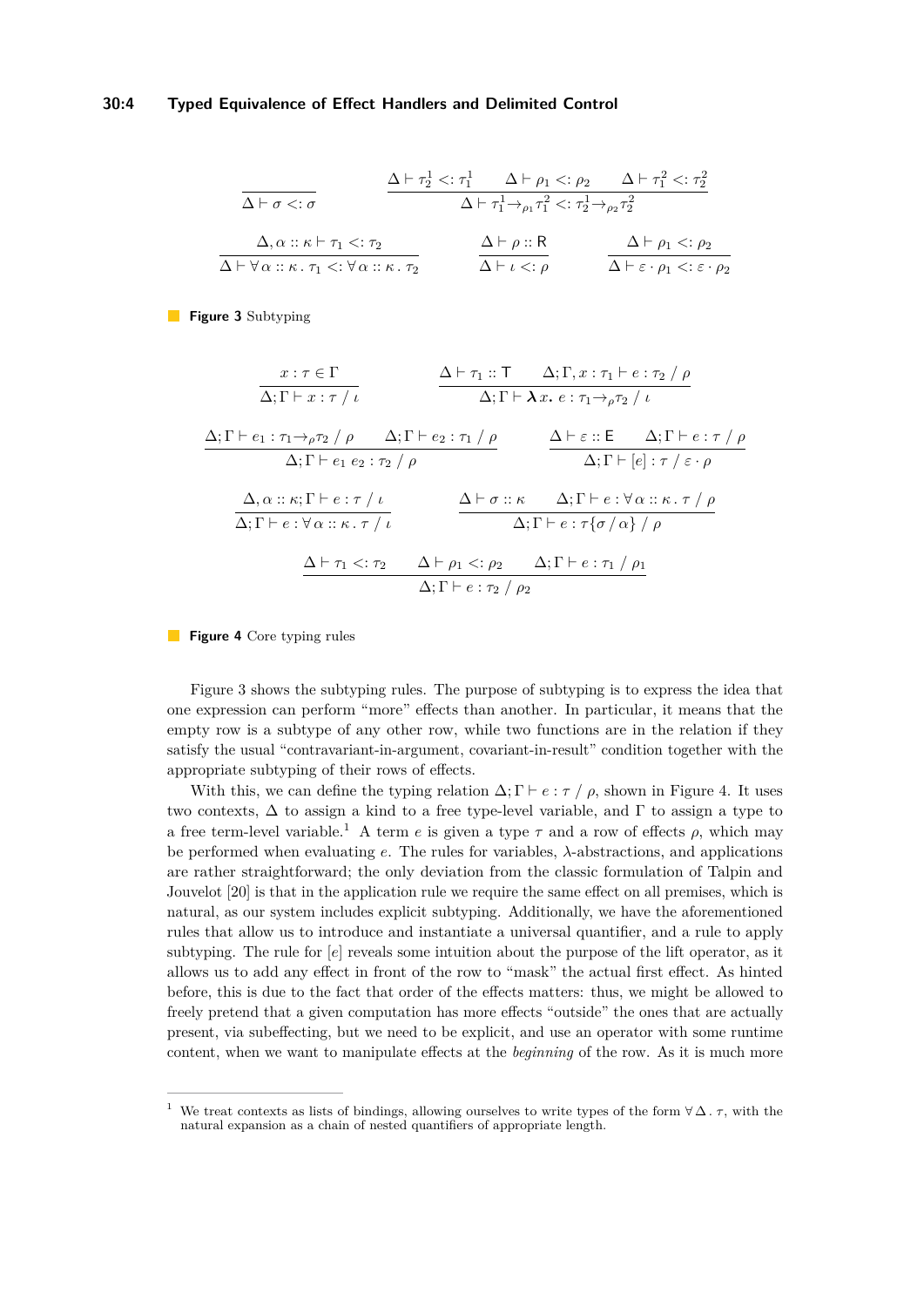## **30:4 Typed Equivalence of Effect Handlers and Delimited Control**

<span id="page-3-0"></span>
$$
\frac{\Delta \vdash \tau_2^1 <: \tau_1^1 \qquad \Delta \vdash \rho_1 <: \rho_2 \qquad \Delta \vdash \tau_1^2 <: \tau_2^2}{\Delta \vdash \tau_1^1 \rightarrow_{\rho_1} \tau_1^2 <: \tau_2^1 \rightarrow_{\rho_2} \tau_2^2}
$$
\n
$$
\frac{\Delta, \alpha :: \kappa \vdash \tau_1 <: \tau_2}{\Delta \vdash \forall \alpha :: \kappa. \ \tau_1 <: \forall \alpha :: \kappa. \ \tau_2} \qquad \frac{\Delta \vdash \rho :: \mathsf{R}}{\Delta \vdash \iota <: \rho} \qquad \frac{\Delta \vdash \rho : \mathsf{R}}{\Delta \vdash \varepsilon \cdot \rho_1 <: \varepsilon \cdot \rho_2}
$$

<span id="page-3-1"></span>**Figure 3** Subtyping

$$
\frac{x:\tau \in \Gamma}{\Delta; \Gamma \vdash x:\tau / \iota} \qquad \frac{\Delta \vdash \tau_1 :: \Gamma \quad \Delta; \Gamma, x:\tau_1 \vdash e:\tau_2 / \rho}{\Delta; \Gamma \vdash \lambda x.\ e:\tau_1 \rightarrow_{\rho} \tau_2 / \iota}
$$
\n
$$
\frac{\Delta; \Gamma \vdash e_1 : \tau_1 \rightarrow_{\rho} \tau_2 / \rho \quad \Delta; \Gamma \vdash e_2 : \tau_1 / \rho}{\Delta; \Gamma \vdash e_1 e_2 : \tau_2 / \rho} \qquad \frac{\Delta \vdash \varepsilon :: \mathsf{E} \quad \Delta; \Gamma \vdash e:\tau / \rho}{\Delta; \Gamma \vdash [e]: \tau / \varepsilon \cdot \rho}
$$
\n
$$
\frac{\Delta, \alpha :: \kappa; \Gamma \vdash e:\tau / \iota}{\Delta; \Gamma \vdash e:\forall \alpha :: \kappa.\ \tau / \iota} \qquad \frac{\Delta \vdash \sigma :: \kappa \quad \Delta; \Gamma \vdash e:\forall \alpha :: \kappa.\ \tau / \rho}{\Delta; \Gamma \vdash e:\tau \{\sigma / \alpha\} / \rho}
$$
\n
$$
\frac{\Delta \vdash \tau_1 <: \tau_2 \quad \Delta \vdash \rho_1 <: \rho_2 \quad \Delta; \Gamma \vdash e:\tau_1 / \rho_1}{\Delta; \Gamma \vdash e:\tau_2 / \rho_2}
$$

**Figure 4** Core typing rules

Figure [3](#page-3-0) shows the subtyping rules. The purpose of subtyping is to express the idea that one expression can perform "more" effects than another. In particular, it means that the empty row is a subtype of any other row, while two functions are in the relation if they satisfy the usual "contravariant-in-argument, covariant-in-result" condition together with the appropriate subtyping of their rows of effects.

With this, we can define the typing relation  $\Delta; \Gamma \vdash e : \tau / \rho$ , shown in Figure [4.](#page-3-1) It uses two contexts,  $\Delta$  to assign a kind to a free type-level variable, and  $\Gamma$  to assign a type to a free term-level variable.<sup>[1](#page-3-2)</sup> A term  $e$  is given a type  $\tau$  and a row of effects  $\rho$ , which may be performed when evaluating *e*. The rules for variables, *λ*-abstractions, and applications are rather straightforward; the only deviation from the classic formulation of Talpin and Jouvelot [\[20\]](#page-15-4) is that in the application rule we require the same effect on all premises, which is natural, as our system includes explicit subtyping. Additionally, we have the aforementioned rules that allow us to introduce and instantiate a universal quantifier, and a rule to apply subtyping. The rule for [*e*] reveals some intuition about the purpose of the lift operator, as it allows us to add any effect in front of the row to "mask" the actual first effect. As hinted before, this is due to the fact that order of the effects matters: thus, we might be allowed to freely pretend that a given computation has more effects "outside" the ones that are actually present, via subeffecting, but we need to be explicit, and use an operator with some runtime content, when we want to manipulate effects at the *beginning* of the row. As it is much more

<span id="page-3-2"></span><sup>&</sup>lt;sup>1</sup> We treat contexts as lists of bindings, allowing ourselves to write types of the form  $\forall \Delta$ .  $\tau$ , with the natural expansion as a chain of nested quantifiers of appropriate length.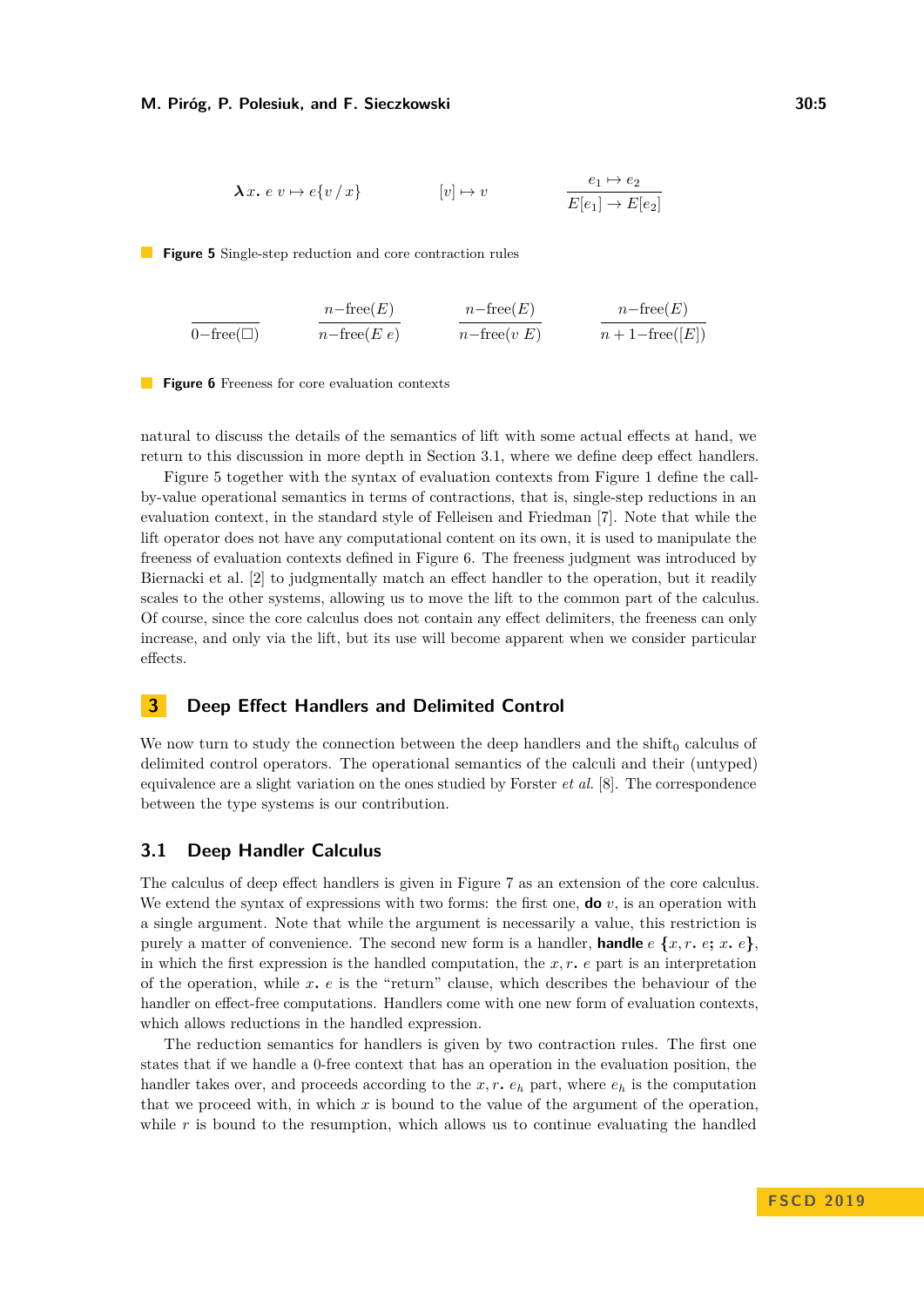<span id="page-4-1"></span>
$$
\lambda x. e v \mapsto e \{v / x\} \qquad [v] \mapsto v \qquad \frac{e_1 \mapsto e_2}{E[e_1] \to E[e_2]}
$$

<span id="page-4-2"></span>**Figure 5** Single-step reduction and core contraction rules

$$
\frac{n - \text{free}(E)}{0 - \text{free}(\square)} \qquad \frac{n - \text{free}(E)}{n - \text{free}(E \ e)} \qquad \frac{n - \text{free}(E)}{n - \text{free}(v \ E)} \qquad \frac{n - \text{free}(E)}{n + 1 - \text{free}([E])}
$$

**Figure 6** Freeness for core evaluation contexts

natural to discuss the details of the semantics of lift with some actual effects at hand, we return to this discussion in more depth in Section [3.1,](#page-4-0) where we define deep effect handlers.

Figure [5](#page-4-1) together with the syntax of evaluation contexts from Figure [1](#page-2-0) define the callby-value operational semantics in terms of contractions, that is, single-step reductions in an evaluation context, in the standard style of Felleisen and Friedman [\[7\]](#page-14-6). Note that while the lift operator does not have any computational content on its own, it is used to manipulate the freeness of evaluation contexts defined in Figure [6.](#page-4-2) The freeness judgment was introduced by Biernacki et al. [\[2\]](#page-14-5) to judgmentally match an effect handler to the operation, but it readily scales to the other systems, allowing us to move the lift to the common part of the calculus. Of course, since the core calculus does not contain any effect delimiters, the freeness can only increase, and only via the lift, but its use will become apparent when we consider particular effects.

# **3 Deep Effect Handlers and Delimited Control**

We now turn to study the connection between the deep handlers and the shift $_0$  calculus of delimited control operators. The operational semantics of the calculi and their (untyped) equivalence are a slight variation on the ones studied by Forster *et al.* [\[8\]](#page-14-3). The correspondence between the type systems is our contribution.

## <span id="page-4-0"></span>**3.1 Deep Handler Calculus**

The calculus of deep effect handlers is given in Figure [7](#page-5-0) as an extension of the core calculus. We extend the syntax of expressions with two forms: the first one, **do** *v*, is an operation with a single argument. Note that while the argument is necessarily a value, this restriction is purely a matter of convenience. The second new form is a handler, **handle**  $e\{x, r, e; x, e\}$ . in which the first expression is the handled computation, the  $x, r$ ,  $e$  part is an interpretation of the operation, while *x. e* is the "return" clause, which describes the behaviour of the handler on effect-free computations. Handlers come with one new form of evaluation contexts, which allows reductions in the handled expression.

The reduction semantics for handlers is given by two contraction rules. The first one states that if we handle a 0-free context that has an operation in the evaluation position, the handler takes over, and proceeds according to the  $x, r, e_h$  part, where  $e_h$  is the computation that we proceed with, in which *x* is bound to the value of the argument of the operation, while r is bound to the resumption, which allows us to continue evaluating the handled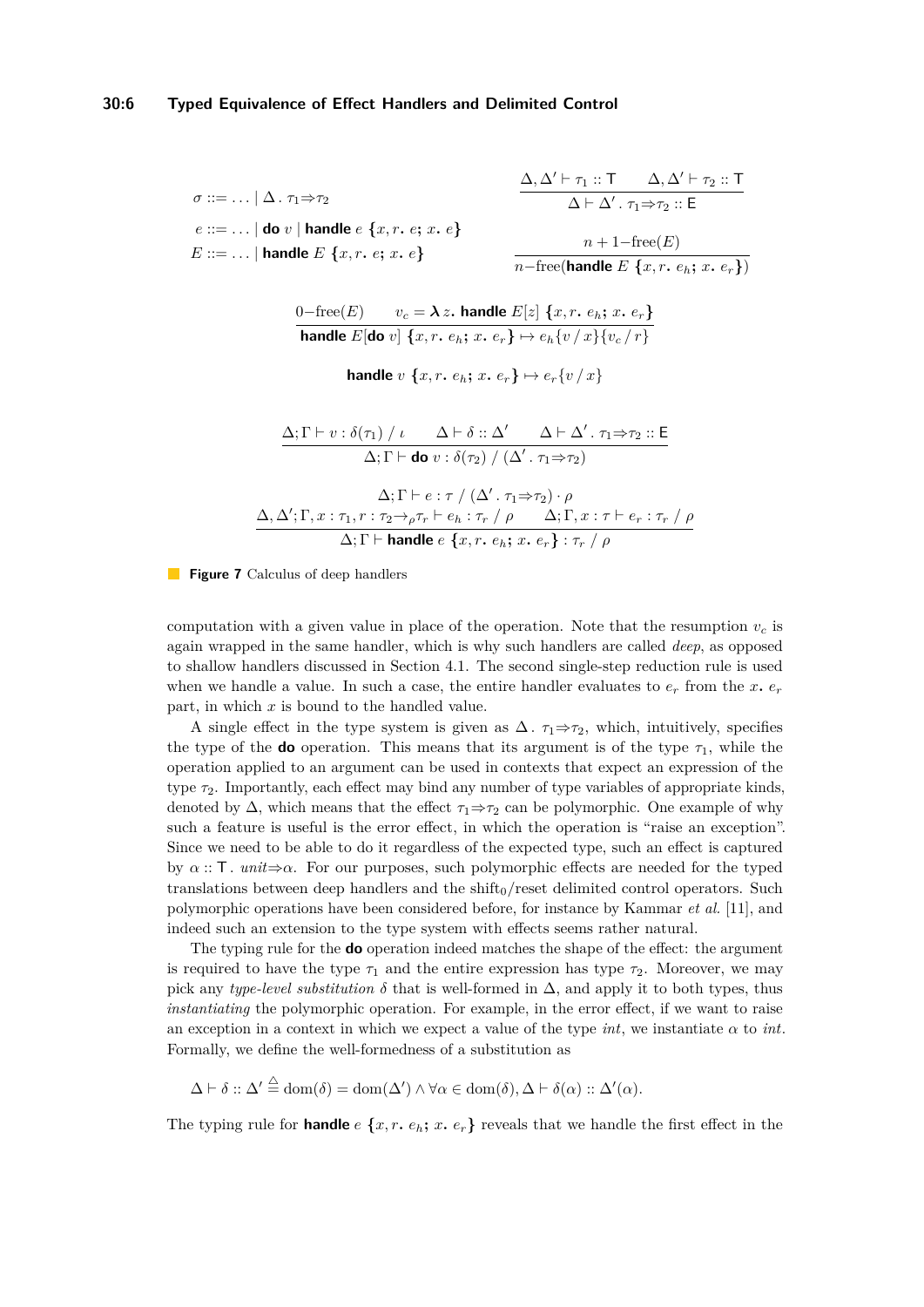<span id="page-5-0"></span>
$$
\sigma ::= \dots | \Delta. \tau_1 \Rightarrow \tau_2
$$
\n
$$
e ::= \dots | \text{ do } v | \text{ handle } e \{x, r. e; x. e\}
$$
\n
$$
E ::= \dots | \text{ handle } E \{x, r. e; x. e\}
$$
\n
$$
n + 1 - \text{free}(E)
$$
\n
$$
n + 1 - \text{free}(E)
$$

 $v_c = \lambda z$ *.* handle  $E[z]$   $\{x, r, e_h; x, e_r\}$ **handle**  $E[\textbf{do } v]$   $\{x, r, e_h; x, e_r\} \mapsto e_h\{v / x\}\{v_c / r\}$ 

**handle** *v*  $\{x, r, e_h; x, e_r\} \mapsto e_r \{v / x\}$ 

$$
\frac{\Delta; \Gamma \vdash v : \delta(\tau_1) / \iota \qquad \Delta \vdash \delta :: \Delta' \qquad \Delta \vdash \Delta'. \tau_1 \Rightarrow \tau_2 :: \mathsf{E}}{\Delta; \Gamma \vdash \mathbf{do} v : \delta(\tau_2) / (\Delta'. \tau_1 \Rightarrow \tau_2)}
$$
\n
$$
\Delta; \Gamma \vdash e : \tau / (\Delta'. \tau_1 \Rightarrow \tau_2) \cdot \rho
$$
\n
$$
\Delta, \Delta'; \Gamma, x : \tau_1, r : \tau_2 \rightarrow_{\rho} \tau_r \vdash e_h : \tau_r / \rho \qquad \Delta; \Gamma, x : \tau \vdash e_r : \tau_r / \rho
$$
\n
$$
\Delta; \Gamma \vdash \mathbf{handle} \ e \ \{x, r. \ e_h; x. \ e_r\} : \tau_r / \rho
$$

**Figure 7** Calculus of deep handlers

computation with a given value in place of the operation. Note that the resumption  $v_c$  is again wrapped in the same handler, which is why such handlers are called *deep*, as opposed to shallow handlers discussed in Section [4.1.](#page-10-0) The second single-step reduction rule is used when we handle a value. In such a case, the entire handler evaluates to  $e_r$  from the  $x$ *.*  $e_r$ part, in which *x* is bound to the handled value.

A single effect in the type system is given as  $\Delta$ *.*  $\tau_1 \Rightarrow \tau_2$ , which, intuitively, specifies the type of the **do** operation. This means that its argument is of the type  $\tau_1$ , while the operation applied to an argument can be used in contexts that expect an expression of the type *τ*2. Importantly, each effect may bind any number of type variables of appropriate kinds, denoted by  $\Delta$ , which means that the effect  $\tau_1 \Rightarrow \tau_2$  can be polymorphic. One example of why such a feature is useful is the error effect, in which the operation is "raise an exception". Since we need to be able to do it regardless of the expected type, such an effect is captured by  $\alpha$  :: T*. unit* $\Rightarrow \alpha$ . For our purposes, such polymorphic effects are needed for the typed translations between deep handlers and the shift $_0$ /reset delimited control operators. Such polymorphic operations have been considered before, for instance by Kammar *et al.* [\[11\]](#page-15-7), and indeed such an extension to the type system with effects seems rather natural.

The typing rule for the **do** operation indeed matches the shape of the effect: the argument is required to have the type  $\tau_1$  and the entire expression has type  $\tau_2$ . Moreover, we may pick any *type-level substitution*  $\delta$  that is well-formed in  $\Delta$ , and apply it to both types, thus *instantiating* the polymorphic operation. For example, in the error effect, if we want to raise an exception in a context in which we expect a value of the type *int*, we instantiate *α* to *int*. Formally, we define the well-formedness of a substitution as

$$
\Delta \vdash \delta :: \Delta' \stackrel{\triangle}{=} \text{dom}(\delta) = \text{dom}(\Delta') \land \forall \alpha \in \text{dom}(\delta), \Delta \vdash \delta(\alpha) :: \Delta'(\alpha).
$$

The typing rule for **handle**  $e \{x, r, e_h; x, e_r\}$  reveals that we handle the first effect in the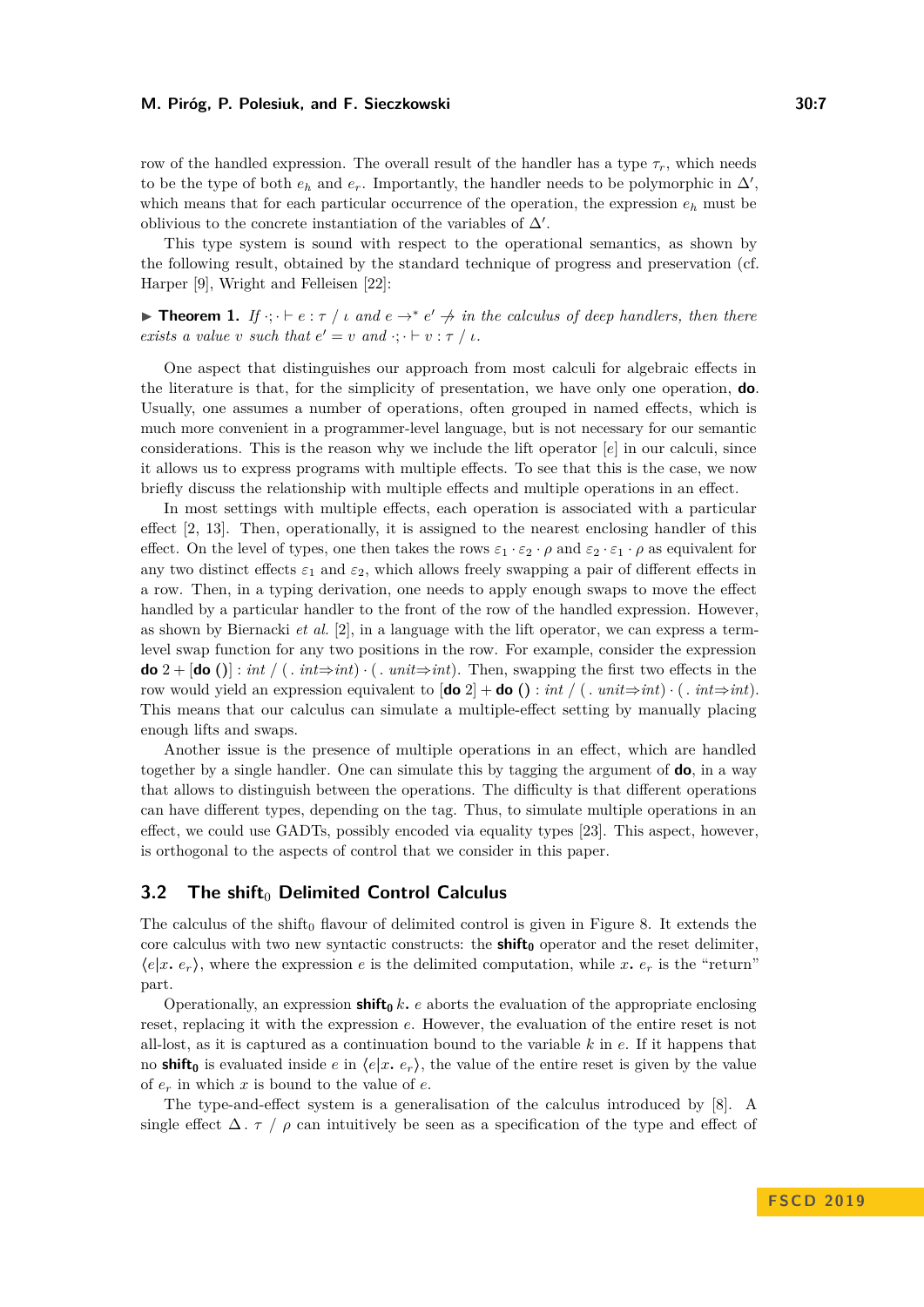row of the handled expression. The overall result of the handler has a type  $\tau_r$ , which needs to be the type of both  $e_h$  and  $e_r$ . Importantly, the handler needs to be polymorphic in  $\Delta'$ , which means that for each particular occurrence of the operation, the expression  $e_h$  must be oblivious to the concrete instantiation of the variables of  $\Delta'$ .

This type system is sound with respect to the operational semantics, as shown by the following result, obtained by the standard technique of progress and preservation (cf. Harper [\[9\]](#page-14-7), Wright and Felleisen [\[22\]](#page-15-8):

**Theorem 1.** *If*  $\cdot$ ;  $\cdot$   $\vdash$   $e$  :  $\tau$  /  $\iota$  *and*  $e \rightarrow^* e' \not\rightarrow \iota$ *n the calculus of deep handlers, then there exists a value v such that*  $e' = v$  *and*  $\cdot; \cdot \vdash v : \tau / \iota$ .

One aspect that distinguishes our approach from most calculi for algebraic effects in the literature is that, for the simplicity of presentation, we have only one operation, **do**. Usually, one assumes a number of operations, often grouped in named effects, which is much more convenient in a programmer-level language, but is not necessary for our semantic considerations. This is the reason why we include the lift operator [*e*] in our calculi, since it allows us to express programs with multiple effects. To see that this is the case, we now briefly discuss the relationship with multiple effects and multiple operations in an effect.

In most settings with multiple effects, each operation is associated with a particular effect [\[2,](#page-14-5) [13\]](#page-15-9). Then, operationally, it is assigned to the nearest enclosing handler of this effect. On the level of types, one then takes the rows  $\varepsilon_1 \cdot \varepsilon_2 \cdot \rho$  and  $\varepsilon_2 \cdot \varepsilon_1 \cdot \rho$  as equivalent for any two distinct effects  $\varepsilon_1$  and  $\varepsilon_2$ , which allows freely swapping a pair of different effects in a row. Then, in a typing derivation, one needs to apply enough swaps to move the effect handled by a particular handler to the front of the row of the handled expression. However, as shown by Biernacki *et al.* [\[2\]](#page-14-5), in a language with the lift operator, we can express a termlevel swap function for any two positions in the row. For example, consider the expression **do**  $2 + [\textbf{do}()] : \text{int} / (\textit{i} \cdot \textit{int} \Rightarrow \textit{int}) \cdot (\textit{i} \cdot \textit{unit} \Rightarrow \textit{int})$ . Then, swapping the first two effects in the row would yield an expression equivalent to  $[\text{do 2}] + \text{do } () : int / ( . unit \Rightarrow int) \cdot ( . int \Rightarrow int).$ This means that our calculus can simulate a multiple-effect setting by manually placing enough lifts and swaps.

Another issue is the presence of multiple operations in an effect, which are handled together by a single handler. One can simulate this by tagging the argument of **do**, in a way that allows to distinguish between the operations. The difficulty is that different operations can have different types, depending on the tag. Thus, to simulate multiple operations in an effect, we could use GADTs, possibly encoded via equality types [\[23\]](#page-15-10). This aspect, however, is orthogonal to the aspects of control that we consider in this paper.

# **3.2 The shift**<sup>0</sup> Delimited Control Calculus

The calculus of the shift<sub>0</sub> flavour of delimited control is given in Figure [8.](#page-7-0) It extends the core calculus with two new syntactic constructs: the **shift<sup>0</sup>** operator and the reset delimiter,  $\langle e|x, e_r \rangle$ , where the expression *e* is the delimited computation, while *x. e<sub>r</sub>* is the "return" part.

Operationally, an expression **shift**<sub>0</sub>  $k$ *.*  $e$  aborts the evaluation of the appropriate enclosing reset, replacing it with the expression *e*. However, the evaluation of the entire reset is not all-lost, as it is captured as a continuation bound to the variable *k* in *e*. If it happens that no **shift**<sub>0</sub> is evaluated inside *e* in  $\langle e | x, e_r \rangle$ , the value of the entire reset is given by the value of *e<sup>r</sup>* in which *x* is bound to the value of *e*.

The type-and-effect system is a generalisation of the calculus introduced by [\[8\]](#page-14-3). A single effect  $\Delta$ . *τ* /  $\rho$  can intuitively be seen as a specification of the type and effect of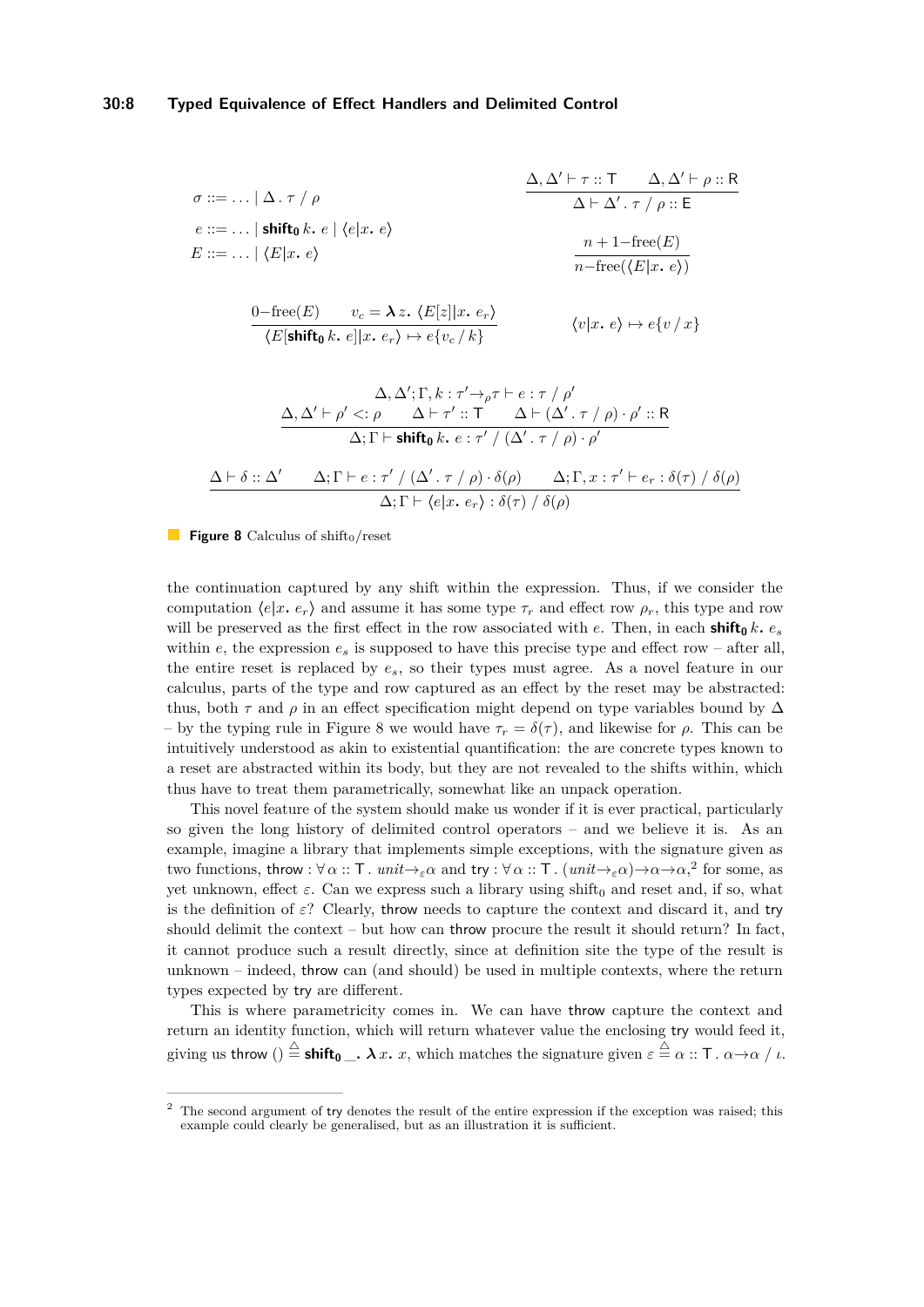<span id="page-7-0"></span>
$$
\sigma ::= ... | \Delta. \tau / \rho
$$
\n
$$
\frac{\Delta, \Delta' \vdash \tau :: \top \Delta, \Delta' \vdash \rho :: \mathsf{R}}{\Delta \vdash \Delta'. \tau / \rho :: \mathsf{E}}
$$
\n
$$
e ::= ... | \text{ shift}_{0} k. e | \langle e | x. e \rangle
$$
\n
$$
E ::= ... | \langle E | x. e \rangle
$$
\n
$$
\frac{n + 1 - \text{free}(E)}{n - \text{free}(\langle E | x. e \rangle)}
$$
\n
$$
\frac{0 - \text{free}(E) \quad v_c = \lambda z. \langle E[z] | x. e_r \rangle}{\langle E[\text{shift}_{0} k. e] | x. e_r \rangle \mapsto e\{v_c / k\}} \qquad \langle v | x. e \rangle \mapsto e\{v / x\}
$$
\n
$$
\frac{\Delta, \Delta' \vdash \rho' <: \rho \quad \Delta \vdash \tau' :: \top \quad \Delta \vdash (\Delta'. \tau / \rho) \cdot \rho' :: \mathsf{R}}{\Delta; \Gamma \vdash \text{shift}_{0} k. e : \tau' / (\Delta'. \tau / \rho) \cdot \rho'}
$$
\n
$$
\frac{\Delta \vdash \delta :: \Delta' \quad \Delta; \Gamma \vdash e : \tau' / (\Delta'. \tau / \rho) \cdot \delta(\rho)}{\Delta; \Gamma \vdash \langle e | x. e_r \rangle : \delta(\tau) / \delta(\rho)} \qquad \frac{\Delta; \Gamma, x : \tau' \vdash e_r : \delta(\tau) / \delta(\rho)}{\Delta; \Gamma \vdash \langle e | x. e_r \rangle : \delta(\tau) / \delta(\rho)}
$$

**Figure 8** Calculus of shift<sub>0</sub>/reset

the continuation captured by any shift within the expression. Thus, if we consider the computation  $\langle e|x, e_r \rangle$  and assume it has some type  $\tau_r$  and effect row  $\rho_r$ , this type and row will be preserved as the first effect in the row associated with *e*. Then, in each **shift**<sub>0</sub>  $k$ *.*  $e_s$ within *e*, the expression  $e_s$  is supposed to have this precise type and effect row – after all, the entire reset is replaced by *es*, so their types must agree. As a novel feature in our calculus, parts of the type and row captured as an effect by the reset may be abstracted: thus, both  $\tau$  and  $\rho$  in an effect specification might depend on type variables bound by  $\Delta$ – by the typing rule in Figure [8](#page-7-0) we would have *τ<sup>r</sup>* = *δ*(*τ* ), and likewise for *ρ*. This can be intuitively understood as akin to existential quantification: the are concrete types known to a reset are abstracted within its body, but they are not revealed to the shifts within, which thus have to treat them parametrically, somewhat like an unpack operation.

This novel feature of the system should make us wonder if it is ever practical, particularly so given the long history of delimited control operators – and we believe it is. As an example, imagine a library that implements simple exceptions, with the signature given as two functions, throw :  $\forall \alpha :: \mathsf{T}$ *. unit*  $\rightarrow_{\varepsilon} \alpha$  and try :  $\forall \alpha :: \mathsf{T}$ *. (unit*  $\rightarrow_{\varepsilon} \alpha$ ) $\rightarrow \alpha \rightarrow \alpha$ ,<sup>[2](#page-7-1)</sup> for some, as yet unknown, effect  $\varepsilon$ . Can we express such a library using shift<sub>0</sub> and reset and, if so, what is the definition of  $\varepsilon$ ? Clearly, throw needs to capture the context and discard it, and try should delimit the context – but how can throw procure the result it should return? In fact, it cannot produce such a result directly, since at definition site the type of the result is unknown – indeed, throw can (and should) be used in multiple contexts, where the return types expected by try are different.

This is where parametricity comes in. We can have throw capture the context and return an identity function, which will return whatever value the enclosing try would feed it, giving us throw ()  $\stackrel{\triangle}{=}$  **shift** $_0$   $\_\cdot$   $\lambda$   $x$   $\ldots$   $x$ , which matches the signature given  $\varepsilon \stackrel{\triangle}{=} \alpha ::$  T  $\ldots$   $\alpha \rightarrow \alpha \;/\ \iota$ .

<span id="page-7-1"></span><sup>&</sup>lt;sup>2</sup> The second argument of try denotes the result of the entire expression if the exception was raised; this example could clearly be generalised, but as an illustration it is sufficient.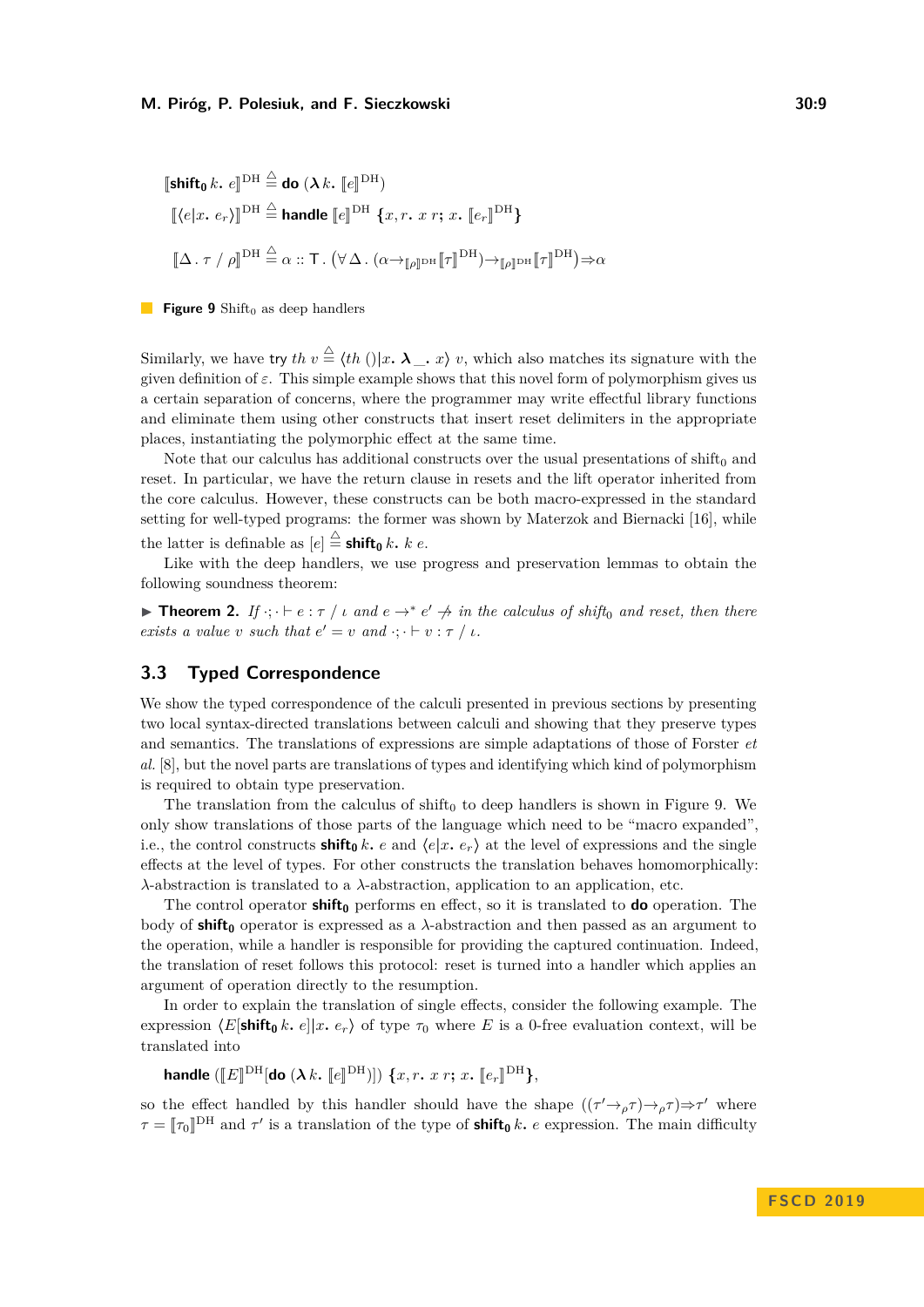<span id="page-8-0"></span>
$$
\begin{aligned}\n\left[\text{shift}_0 \, k. \, e\right]^{DH} &\stackrel{\triangle}{=} \text{do } (\lambda \, k. \, \left[e\right]^{DH}) \\
\left[\langle e | x. \, e_r \rangle\right]^{DH} &\stackrel{\triangle}{=} \text{handle } \left[e\right]^{DH} \{x, r. \, x \, r; \, x. \, \left[e_r\right]^{DH}\} \\
\left[\Delta \cdot \tau / \rho\right]^{DH} &\stackrel{\triangle}{=} \alpha :: \mathsf{T}. \left(\forall \Delta \cdot (\alpha \rightarrow_{\llbracket \rho\rrbracket^{DH}} \left[\tau\right]^{DH}) \rightarrow_{\llbracket \rho\rrbracket^{DH}} \left[\tau\right]^{DH}\right) \Rightarrow \alpha\n\end{aligned}
$$

**Figure 9** Shift<sub>0</sub> as deep handlers

Similarly, we have try  $th v \stackrel{\triangle}{=} \langle th (0 | x, \lambda_-, x \rangle v)$ , which also matches its signature with the given definition of  $\varepsilon$ . This simple example shows that this novel form of polymorphism gives us a certain separation of concerns, where the programmer may write effectful library functions and eliminate them using other constructs that insert reset delimiters in the appropriate places, instantiating the polymorphic effect at the same time.

Note that our calculus has additional constructs over the usual presentations of  $\text{shift}_0$  and reset. In particular, we have the return clause in resets and the lift operator inherited from the core calculus. However, these constructs can be both macro-expressed in the standard setting for well-typed programs: the former was shown by Materzok and Biernacki [\[16\]](#page-15-11), while the latter is definable as  $[e] \stackrel{\triangle}{=}$ **shift**<sub>0</sub> *k. k e*.

Like with the deep handlers, we use progress and preservation lemmas to obtain the following soundness theorem:

**Theorem 2.** *If*  $\cdot$ ;  $\cdot$   $\vdash$  *e* :  $\tau$  / *i and*  $e \rightarrow^* e' \not\rightarrow$  *in the calculus of shift*<sub>0</sub> *and reset, then there exists a value v such that*  $e' = v$  *and*  $\cdot; \cdot \vdash v : \tau / \iota$ .

# **3.3 Typed Correspondence**

We show the typed correspondence of the calculi presented in previous sections by presenting two local syntax-directed translations between calculi and showing that they preserve types and semantics. The translations of expressions are simple adaptations of those of Forster *et al.* [\[8\]](#page-14-3), but the novel parts are translations of types and identifying which kind of polymorphism is required to obtain type preservation.

The translation from the calculus of  $\text{shift}_0$  to deep handlers is shown in Figure [9.](#page-8-0) We only show translations of those parts of the language which need to be "macro expanded", i.e., the control constructs **shift**<sub>0</sub>  $k$ *.*  $e$  and  $\langle e | x, e_r \rangle$  at the level of expressions and the single effects at the level of types. For other constructs the translation behaves homomorphically: *λ*-abstraction is translated to a *λ*-abstraction, application to an application, etc.

The control operator **shift<sup>0</sup>** performs en effect, so it is translated to **do** operation. The body of **shift<sup>0</sup>** operator is expressed as a *λ*-abstraction and then passed as an argument to the operation, while a handler is responsible for providing the captured continuation. Indeed, the translation of reset follows this protocol: reset is turned into a handler which applies an argument of operation directly to the resumption.

In order to explain the translation of single effects, consider the following example. The expression  $\langle E[\text{shift}_0 k, e]|x, e_r \rangle$  of type  $\tau_0$  where E is a 0-free evaluation context, will be translated into

 ${\bf handle}$   $(\llbracket E \rrbracket ^\mathrm{DH}[\mathbf{do}\ (\boldsymbol{\lambda}\,k.\ \llbracket e \rrbracket ^\mathrm{DH})])\ \{x, r.\ x\ r;\ x.\ \llbracket e_r \rrbracket ^\mathrm{DH}\},$ 

so the effect handled by this handler should have the shape  $((\tau' \rightarrow \rho \tau) \rightarrow \rho \tau) \Rightarrow \tau'$  where  $\tau = [\tau_0]^{\text{DH}}$  and  $\tau'$  is a translation of the type of **shift**<sub>0</sub> *k. e* expression. The main difficulty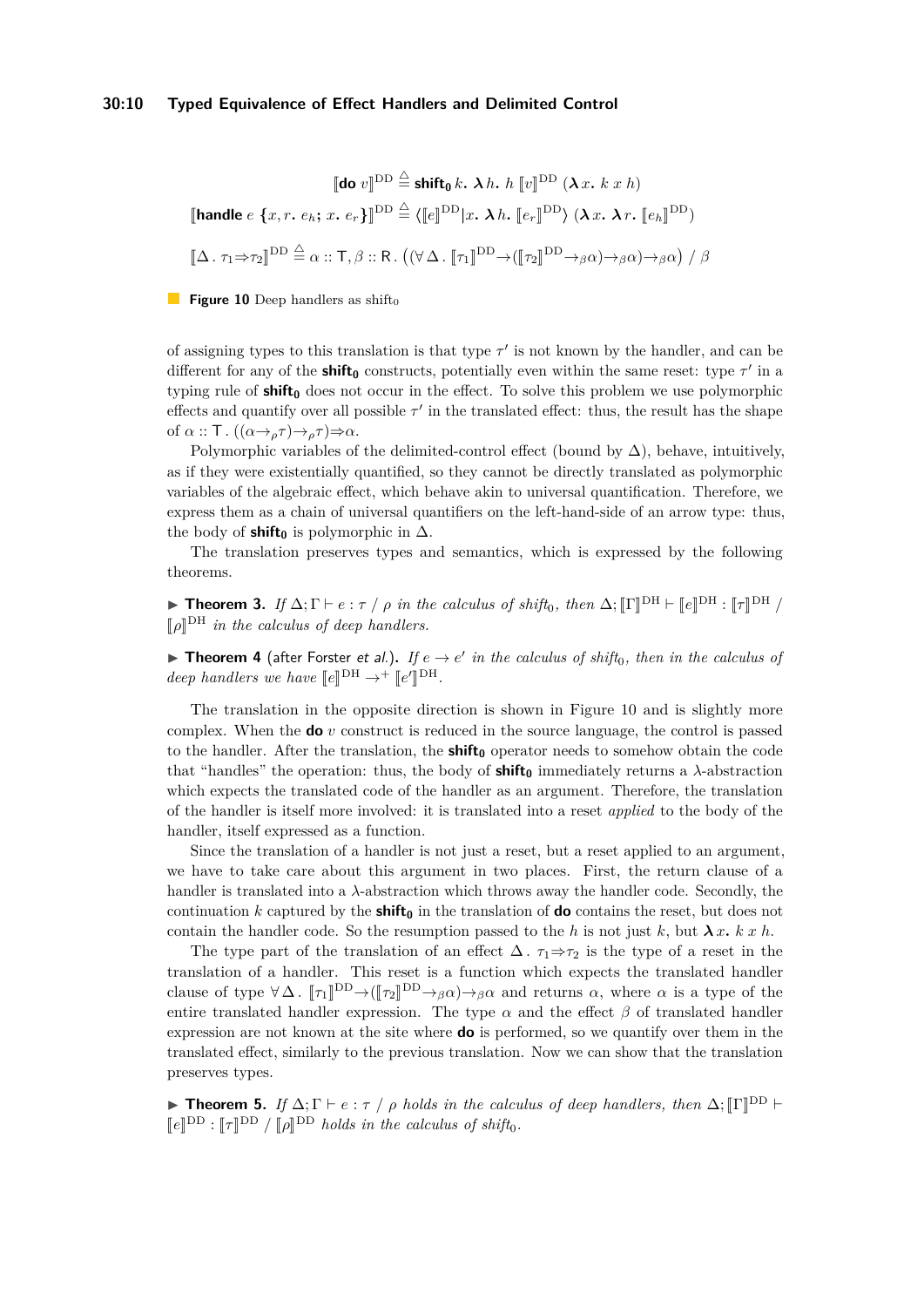## **30:10 Typed Equivalence of Effect Handlers and Delimited Control**

<span id="page-9-0"></span>
$$
\llbracket \textbf{do } v \rrbracket^{\text{DD}} \stackrel{\triangle}{=} \textbf{shift}_{0} k. \ \lambda \ h. \ \ h \llbracket v \rrbracket^{\text{DD}} (\lambda \ x. \ k \ x \ h)
$$
\n
$$
\llbracket \textbf{handle } e \{x, r. \ e_{h}; \ x. \ e_{r}\} \rrbracket^{\text{DD}} \stackrel{\triangle}{=} \langle \llbracket e \rrbracket^{\text{DD}} | x. \ \lambda \ h. \ \llbracket e_{r} \rrbracket^{\text{DD}} \rangle (\lambda \ x. \ \lambda \ r. \ \llbracket e_{h} \rrbracket^{\text{DD}})
$$
\n
$$
\llbracket \Delta \ . \ \tau_{1} \Rightarrow \tau_{2} \rrbracket^{\text{DD}} \stackrel{\triangle}{=} \alpha :: \mathsf{T}, \beta :: \mathsf{R}. \ \ ((\forall \Delta \ . \ \llbracket \tau_{1} \rrbracket^{\text{DD}} \rightarrow (\llbracket \tau_{2} \rrbracket^{\text{DD}} \rightarrow_{\beta} \alpha) \rightarrow_{\beta} \alpha) \ / \ \beta
$$

**Figure 10** Deep handlers as shift<sub>0</sub>

of assigning types to this translation is that type  $\tau'$  is not known by the handler, and can be different for any of the **shift**<sup> $0$ </sup> constructs, potentially even within the same reset: type  $\tau'$  in a typing rule of **shift<sup>0</sup>** does not occur in the effect. To solve this problem we use polymorphic effects and quantify over all possible  $\tau'$  in the translated effect: thus, the result has the shape of  $\alpha$  :: T.  $((\alpha \rightarrow_{\rho} \tau) \rightarrow_{\rho} \tau) \Rightarrow \alpha$ .

Polymorphic variables of the delimited-control effect (bound by  $\Delta$ ), behave, intuitively, as if they were existentially quantified, so they cannot be directly translated as polymorphic variables of the algebraic effect, which behave akin to universal quantification. Therefore, we express them as a chain of universal quantifiers on the left-hand-side of an arrow type: thus, the body of **shift**<sup>0</sup> is polymorphic in  $\Delta$ .

The translation preserves types and semantics, which is expressed by the following theorems.

**F Theorem 3.** *If*  $\Delta$ ;  $\Gamma \vdash e : \tau / \rho$  *in the calculus of shift*<sub>0</sub>*, then*  $\Delta$ ;  $[\![\Gamma]\!]^{\text{DH}} \vdash [\![e]\!]^{\text{DH}} : [\![\tau]\!]^{\text{DH}}$  $[\![\rho]\!]^{\text{DH}}$  *in the calculus of deep handlers.* 

<span id="page-9-1"></span>**Theorem 4** (after Forster et al.). If  $e \rightarrow e'$  in the calculus of shift<sub>0</sub>, then in the calculus of *deep handlers we have*  $\llbracket e \rrbracket^{\text{DH}} \rightarrow^{+} \llbracket e'$  $\mathbb{I}^{\text{DH}}$ .

The translation in the opposite direction is shown in Figure [10](#page-9-0) and is slightly more complex. When the **do** *v* construct is reduced in the source language, the control is passed to the handler. After the translation, the **shift<sup>0</sup>** operator needs to somehow obtain the code that "handles" the operation: thus, the body of **shift**<sub>0</sub> immediately returns a  $\lambda$ -abstraction which expects the translated code of the handler as an argument. Therefore, the translation of the handler is itself more involved: it is translated into a reset *applied* to the body of the handler, itself expressed as a function.

Since the translation of a handler is not just a reset, but a reset applied to an argument, we have to take care about this argument in two places. First, the return clause of a handler is translated into a  $\lambda$ -abstraction which throws away the handler code. Secondly, the continuation  $k$  captured by the **shift**<sub>0</sub> in the translation of **do** contains the reset, but does not contain the handler code. So the resumption passed to the *h* is not just *k*, but  $\lambda x \cdot k x h$ .

The type part of the translation of an effect  $\Delta$ .  $\tau_1 \Rightarrow \tau_2$  is the type of a reset in the translation of a handler. This reset is a function which expects the translated handler clause of type  $\forall \Delta$ .  $[\![\tau_1]\!]^{DD} \rightarrow (\![\tau_2]\!]^{DD} \rightarrow_{\beta} \alpha$  and returns  $\alpha$ , where  $\alpha$  is a type of the entire translated handler expression. The type  $\alpha$  and the effect  $\beta$  of translated handler expression are not known at the site where **do** is performed, so we quantify over them in the translated effect, similarly to the previous translation. Now we can show that the translation preserves types.

**Theorem 5.** *If*  $\Delta$ ;  $\Gamma \vdash e : \tau / \rho$  *holds in the calculus of deep handlers, then*  $\Delta$ ;  $[\Gamma]^{DD} \vdash$  $[[e]]^{DD}$  :  $[[\tau]]^{DD}$  /  $[[\rho]]^{DD}$  *holds in the calculus of shift*<sub>0</sub>*.*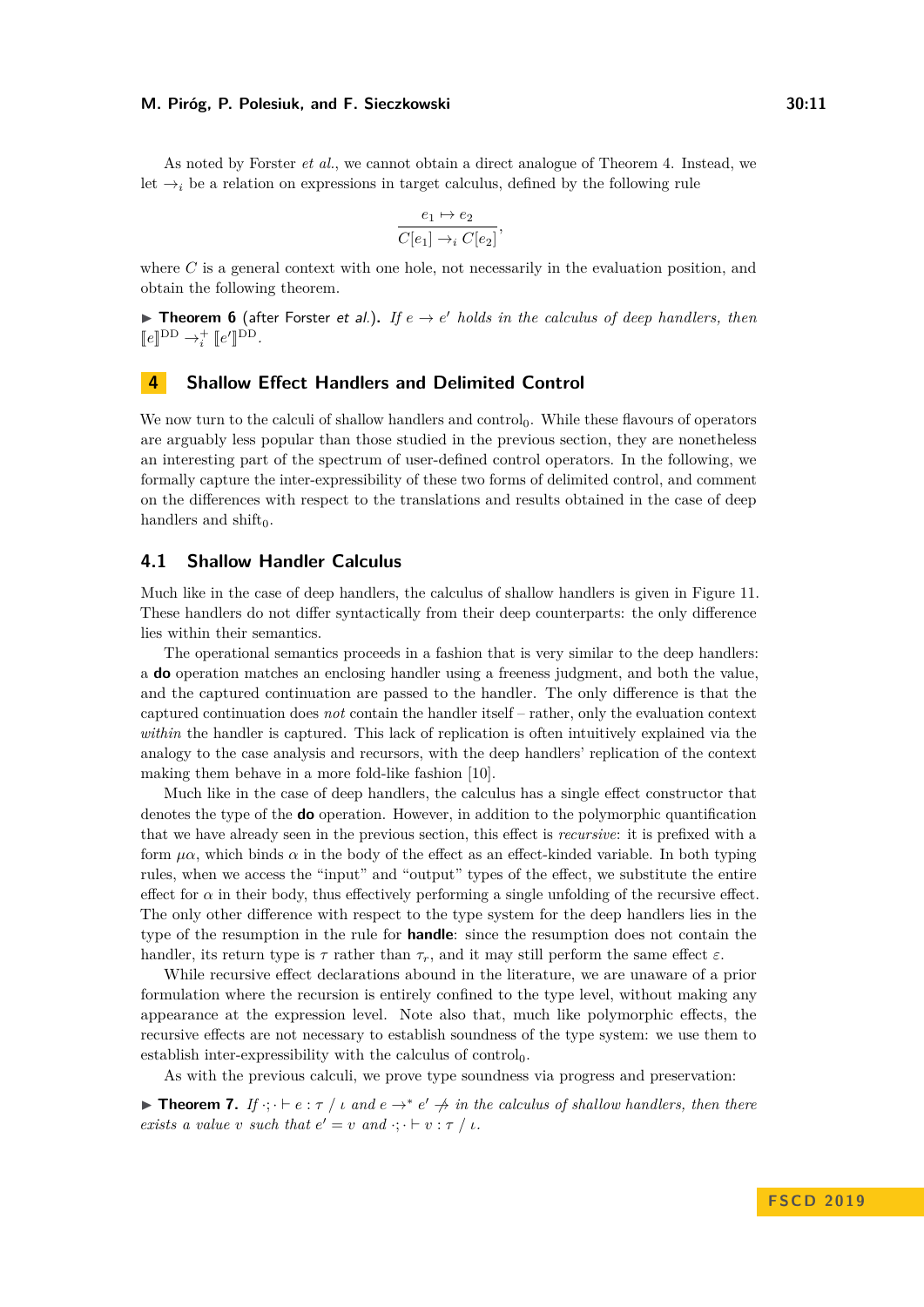As noted by Forster *et al.*, we cannot obtain a direct analogue of Theorem [4.](#page-9-1) Instead, we let  $\rightarrow$ <sub>*i*</sub> be a relation on expressions in target calculus, defined by the following rule

$$
\frac{e_1 \mapsto e_2}{C[e_1] \rightarrow_i C[e_2]},
$$

where C is a general context with one hole, not necessarily in the evaluation position, and obtain the following theorem.

**Theorem 6** (after Forster et al.). If  $e \rightarrow e'$  holds in the calculus of deep handlers, then  $\llbracket e \rrbracket^{\text{DD}} \rightarrow_i^+ \llbracket e'$  $\mathbb{I}^{\text{DD}}$ .

# **4 Shallow Effect Handlers and Delimited Control**

We now turn to the calculi of shallow handlers and control<sub>0</sub>. While these flavours of operators are arguably less popular than those studied in the previous section, they are nonetheless an interesting part of the spectrum of user-defined control operators. In the following, we formally capture the inter-expressibility of these two forms of delimited control, and comment on the differences with respect to the translations and results obtained in the case of deep handlers and shift $_0$ .

## <span id="page-10-0"></span>**4.1 Shallow Handler Calculus**

Much like in the case of deep handlers, the calculus of shallow handlers is given in Figure [11.](#page-11-0) These handlers do not differ syntactically from their deep counterparts: the only difference lies within their semantics.

The operational semantics proceeds in a fashion that is very similar to the deep handlers: a **do** operation matches an enclosing handler using a freeness judgment, and both the value, and the captured continuation are passed to the handler. The only difference is that the captured continuation does *not* contain the handler itself – rather, only the evaluation context *within* the handler is captured. This lack of replication is often intuitively explained via the analogy to the case analysis and recursors, with the deep handlers' replication of the context making them behave in a more fold-like fashion [\[10\]](#page-14-8).

Much like in the case of deep handlers, the calculus has a single effect constructor that denotes the type of the **do** operation. However, in addition to the polymorphic quantification that we have already seen in the previous section, this effect is *recursive*: it is prefixed with a form  $\mu\alpha$ , which binds  $\alpha$  in the body of the effect as an effect-kinded variable. In both typing rules, when we access the "input" and "output" types of the effect, we substitute the entire effect for  $\alpha$  in their body, thus effectively performing a single unfolding of the recursive effect. The only other difference with respect to the type system for the deep handlers lies in the type of the resumption in the rule for **handle**: since the resumption does not contain the handler, its return type is  $\tau$  rather than  $\tau_r$ , and it may still perform the same effect  $\varepsilon$ .

While recursive effect declarations abound in the literature, we are unaware of a prior formulation where the recursion is entirely confined to the type level, without making any appearance at the expression level. Note also that, much like polymorphic effects, the recursive effects are not necessary to establish soundness of the type system: we use them to establish inter-expressibility with the calculus of  $control_0$ .

As with the previous calculi, we prove type soundness via progress and preservation:

**Theorem 7.** *If*  $\cdot$ ;  $\cdot$   $\vdash$   $e$  :  $\tau$  /  $\iota$  *and*  $e \rightarrow^* e' \not\rightarrow$  *in the calculus of shallow handlers, then there exists a value v such that*  $e' = v$  *and*  $\cdot; \cdot \vdash v : \tau / \iota$ .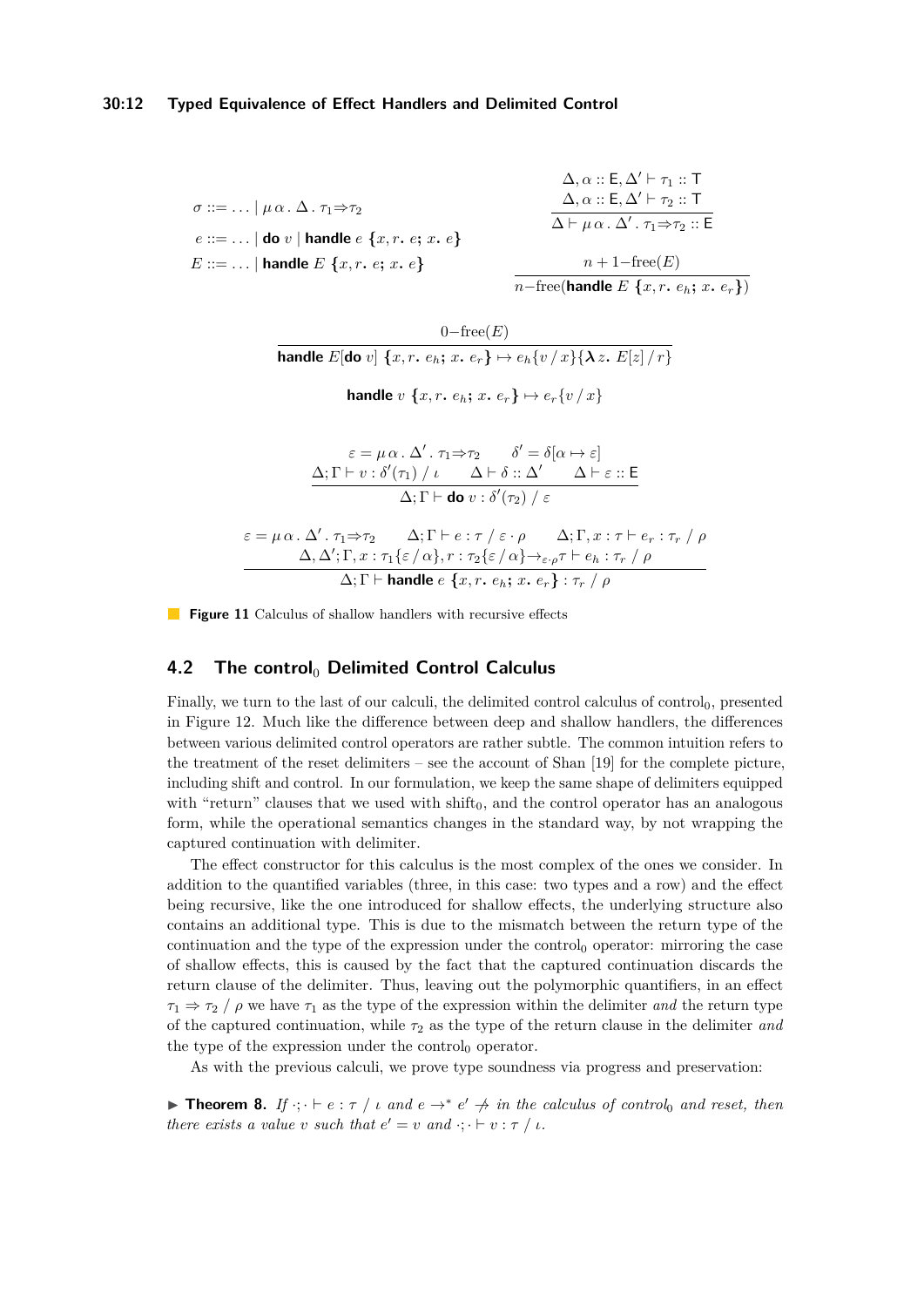## **30:12 Typed Equivalence of Effect Handlers and Delimited Control**

<span id="page-11-0"></span>
$$
\sigma ::= ... | \mu \alpha \ldots \Delta \ldots \tau_1 \Rightarrow \tau_2
$$
\n
$$
e ::= ... | \text{ do } v | \text{ handle } e \{x, r, e; x, e\}
$$
\n
$$
E ::= ... | \text{ handle } E \{x, r, e; x, e\}
$$
\n
$$
n + 1 - \text{free}(E)
$$

 $0$ −free $(E)$ **handle**  $E[\textbf{do } v]$  { $x, r, e_h$ ;  $x, e_r$ }  $\mapsto e_h\{v/x\}$ { $\lambda z$ ,  $E[z]/r$ } **handle** *v*  $\{x, r, e_h; x, e_r\} \mapsto e_r \{v / x\}$ 

$$
\varepsilon = \mu \alpha \cdot \Delta' \cdot \tau_1 \Rightarrow \tau_2 \qquad \delta' = \delta[\alpha \mapsto \varepsilon]
$$
  

$$
\frac{\Delta; \Gamma \vdash v : \delta'(\tau_1) / \iota \qquad \Delta \vdash \delta :: \Delta' \qquad \Delta \vdash \varepsilon :: \mathsf{E}}{\Delta; \Gamma \vdash \mathbf{do} v : \delta'(\tau_2) / \varepsilon}
$$
  

$$
\varepsilon = \mu \alpha \cdot \Delta' \cdot \tau_1 \Rightarrow \tau_2 \qquad \Delta; \Gamma \vdash e : \tau / \varepsilon \cdot \rho \qquad \Delta; \Gamma, x : \tau \vdash e_r : \tau_r / \rho
$$
  

$$
\Delta; \Delta'; \Gamma, x : \tau_1 \{\varepsilon / \alpha\}, r : \tau_2 \{\varepsilon / \alpha\} \rightarrow_{\varepsilon \cdot \rho} \tau \vdash e_h : \tau_r / \rho
$$
  

$$
\Delta; \Gamma \vdash \mathsf{handle} \ e \{x, r. e_h; x. e_r\} : \tau_r / \rho
$$

**Figure 11** Calculus of shallow handlers with recursive effects

# **4.2 The control**<sup>0</sup> Delimited Control Calculus

Finally, we turn to the last of our calculi, the delimited control calculus of control $_0$ , presented in Figure [12.](#page-12-0) Much like the difference between deep and shallow handlers, the differences between various delimited control operators are rather subtle. The common intuition refers to the treatment of the reset delimiters – see the account of Shan [\[19\]](#page-15-12) for the complete picture, including shift and control. In our formulation, we keep the same shape of delimiters equipped with "return" clauses that we used with  $\text{shift}_0$ , and the control operator has an analogous form, while the operational semantics changes in the standard way, by not wrapping the captured continuation with delimiter.

The effect constructor for this calculus is the most complex of the ones we consider. In addition to the quantified variables (three, in this case: two types and a row) and the effect being recursive, like the one introduced for shallow effects, the underlying structure also contains an additional type. This is due to the mismatch between the return type of the continuation and the type of the expression under the control<sub>0</sub> operator: mirroring the case of shallow effects, this is caused by the fact that the captured continuation discards the return clause of the delimiter. Thus, leaving out the polymorphic quantifiers, in an effect  $\tau_1 \Rightarrow \tau_2$  /  $\rho$  we have  $\tau_1$  as the type of the expression within the delimiter *and* the return type of the captured continuation, while  $\tau_2$  as the type of the return clause in the delimiter *and* the type of the expression under the control $_0$  operator.

As with the previous calculi, we prove type soundness via progress and preservation:

**Theorem 8.** *If*  $\cdot$ ;  $\cdot$   $\vdash$   $e$  :  $\tau$  /  $\iota$  *and*  $e \rightarrow^* e' \not\rightarrow \iota$  *in the calculus of control*<sub>0</sub> *and reset, then there exists a value v such that*  $e' = v$  *and*  $\cdot; \cdot \vdash v : \tau / \iota$ .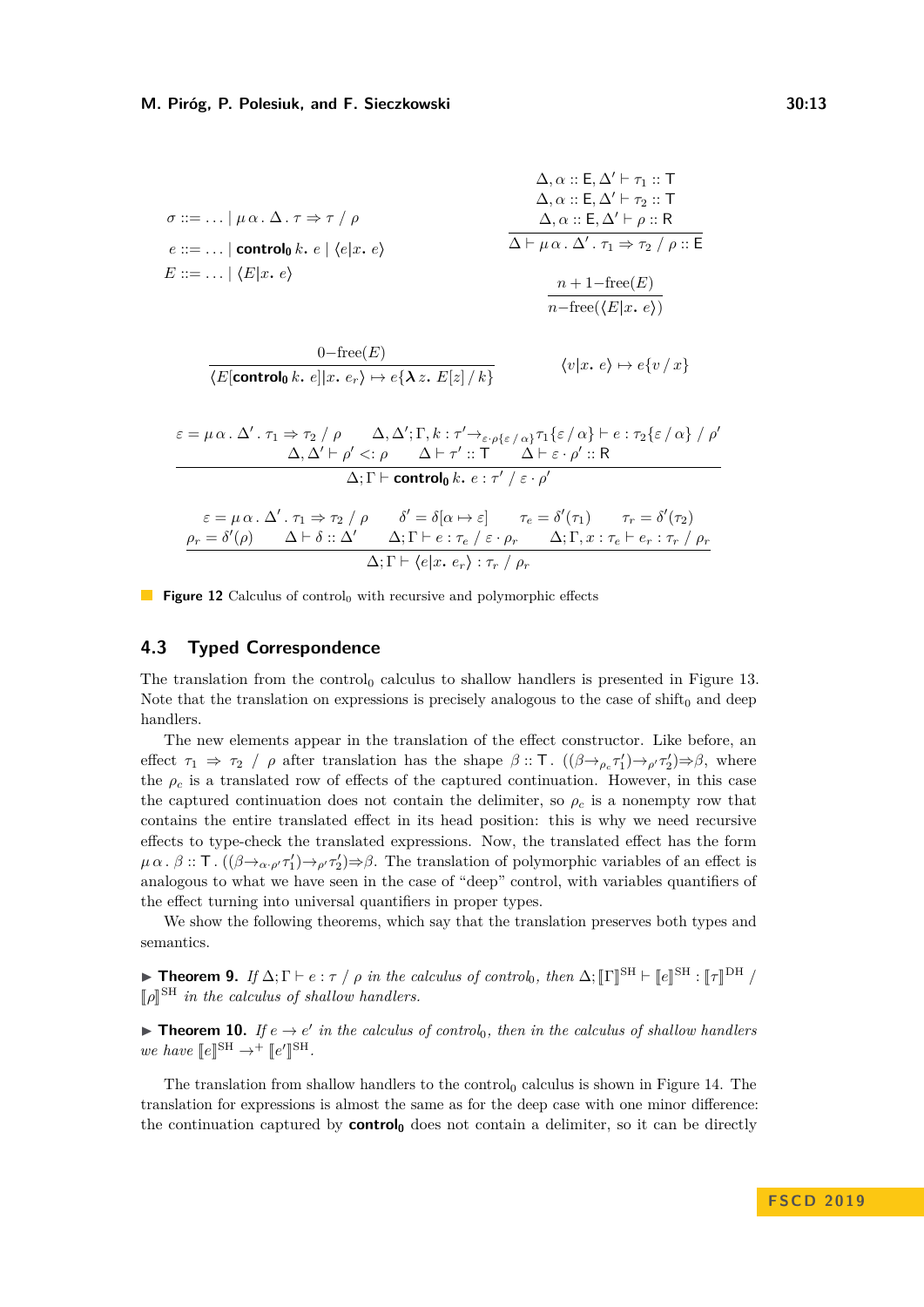<span id="page-12-0"></span>
$$
\sigma ::= ... | \mu \alpha \ldots \Delta \ldots \tau \Rightarrow \tau / \rho
$$
\n
$$
e ::= ... | \text{control}_0 k. e | \langle e | x. e \rangle
$$
\n
$$
E ::= ... | \langle E | x. e \rangle
$$
\n
$$
\Delta, \alpha :: E, \Delta' \vdash \tau_2 :: T
$$
\n
$$
\Delta, \alpha :: E, \Delta' \vdash \rho :: R
$$
\n
$$
\Delta \vdash \mu \alpha \ldots \Delta' \ldots \tau_1 \Rightarrow \tau_2 / \rho :: E
$$
\n
$$
\frac{n + 1 - \text{free}(E)}{n - \text{free}(\langle E | x. e \rangle)}
$$

$$
\frac{0-\text{free}(E)}{\langle E[\text{control}_0 \, k. \, e]|x. \, e_r\rangle \mapsto e\{\lambda z. \, E[z]/k\}} \qquad \langle v|x. \, e\rangle \mapsto e\{v/x\}
$$

$$
\varepsilon = \mu \alpha \cdot \Delta' \cdot \tau_1 \Rightarrow \tau_2 / \rho \qquad \Delta, \Delta'; \Gamma, k : \tau' \to_{\varepsilon \cdot \rho \{\varepsilon / \alpha\}} \tau_1 \{\varepsilon / \alpha\} \vdash e : \tau_2 \{\varepsilon / \alpha\} / \rho' \n\Delta, \Delta' \vdash \rho' <: \rho \qquad \Delta \vdash \tau' :: \Gamma \qquad \Delta \vdash \varepsilon \cdot \rho' :: \mathsf{R}
$$
\n
$$
\Delta; \Gamma \vdash \textbf{control}_0 k. e : \tau' / \varepsilon \cdot \rho'
$$

$$
\varepsilon = \mu \alpha \cdot \Delta' \cdot \tau_1 \Rightarrow \tau_2 / \rho \qquad \delta' = \delta[\alpha \mapsto \varepsilon] \qquad \tau_e = \delta'(\tau_1) \qquad \tau_r = \delta'(\tau_2)
$$

$$
\frac{\rho_r = \delta'(\rho)}{\Delta \vdash \delta \vdots \Delta'} \frac{\Delta \vdash \delta \vdash \varepsilon \cdot \tau_e / \varepsilon \cdot \rho_r}{\Delta; \Gamma \vdash e : \tau_e / \varepsilon \cdot \rho_r} \frac{\Delta \vdash \Gamma, x : \tau_e \vdash e_r : \tau_r / \rho_r}{\Delta \vdash \Gamma \vdash \langle e | x, e_r \rangle : \tau_r / \rho_r}
$$

**Figure 12** Calculus of control<sub>0</sub> with recursive and polymorphic effects

## **4.3 Typed Correspondence**

The translation from the control<sub>0</sub> calculus to shallow handlers is presented in Figure [13.](#page-13-0) Note that the translation on expressions is precisely analogous to the case of shift $_0$  and deep handlers.

The new elements appear in the translation of the effect constructor. Like before, an effect  $\tau_1 \Rightarrow \tau_2$  /  $\rho$  after translation has the shape  $\beta$  :: T.  $((\beta \rightarrow_{\rho_c} \tau_1') \rightarrow_{\rho'} \tau_2') \Rightarrow \beta$ , where the  $\rho_c$  is a translated row of effects of the captured continuation. However, in this case the captured continuation does not contain the delimiter, so  $\rho_c$  is a nonempty row that contains the entire translated effect in its head position: this is why we need recursive effects to type-check the translated expressions. Now, the translated effect has the form  $\mu \alpha$ .  $\beta$  :: T.  $((\beta \rightarrow_{\alpha \cdot \rho'} \tau_1') \rightarrow_{\rho'} \tau_2') \Rightarrow \beta$ . The translation of polymorphic variables of an effect is analogous to what we have seen in the case of "deep" control, with variables quantifiers of the effect turning into universal quantifiers in proper types.

We show the following theorems, which say that the translation preserves both types and semantics.

**► Theorem 9.** *If*  $\Delta$ ;  $\Gamma \vdash e : \tau / \rho$  *in the calculus of control*<sub>0</sub>*, then*  $\Delta$ ;  $[\![\Gamma]\!]^{\text{SH}} \vdash [\![e]\!]^{\text{SH}} : [\![\tau]\!]^{\text{DH}}$  /  $[\![\rho]\!]^{\text{SH}}$  *in the calculus of shallow handlers.* 

**Theorem 10.** *If*  $e \rightarrow e'$  *in the calculus of control*<sub>0</sub>*, then in the calculus of shallow handlers we have*  $[e]^{SH} \rightarrow^+ [e'$  $\mathbb{I}^{\text{SH}}$ .

The translation from shallow handlers to the control<sub>0</sub> calculus is shown in Figure [14.](#page-13-1) The translation for expressions is almost the same as for the deep case with one minor difference: the continuation captured by **control<sup>0</sup>** does not contain a delimiter, so it can be directly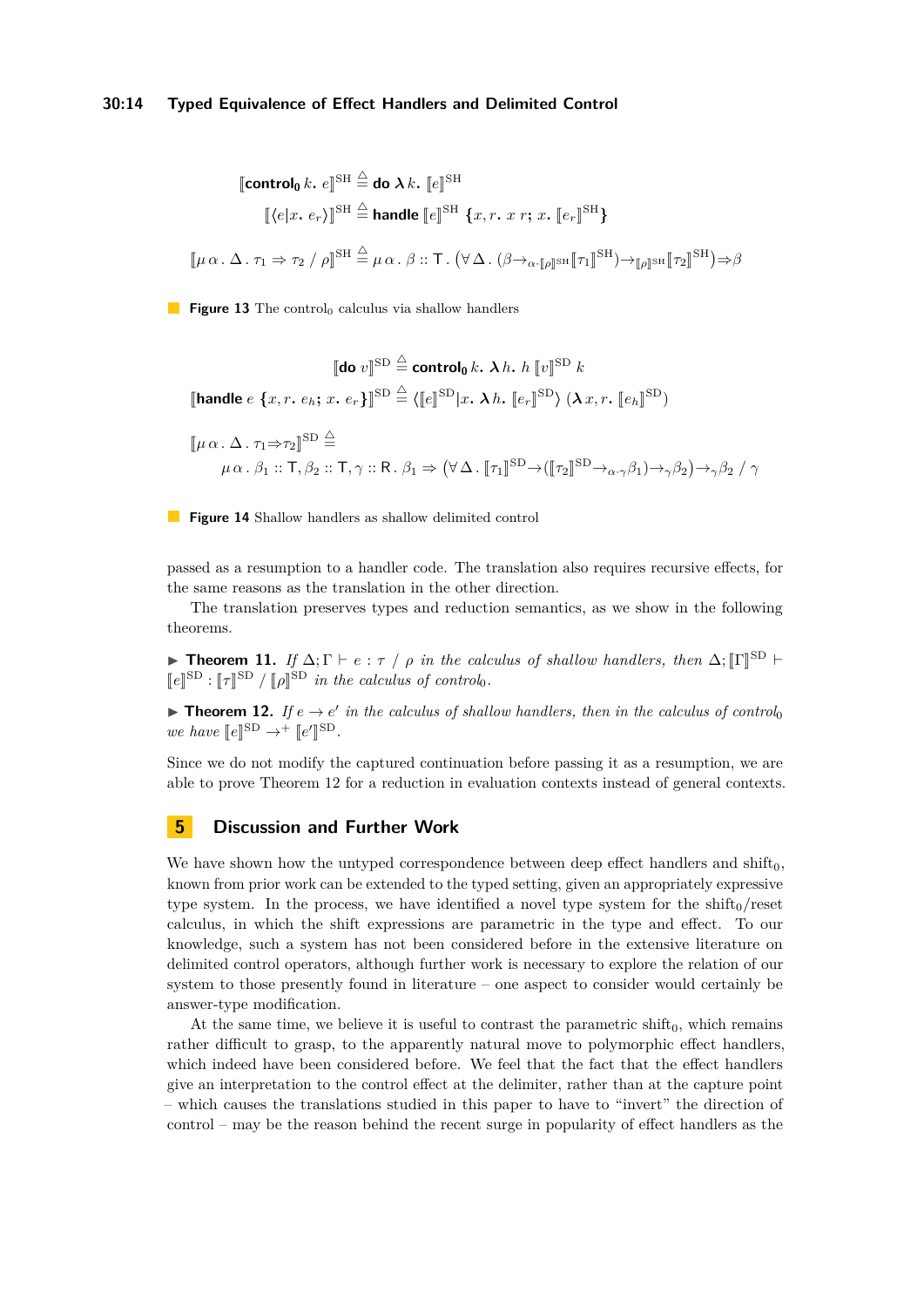## **30:14 Typed Equivalence of Effect Handlers and Delimited Control**

<span id="page-13-0"></span>
$$
\begin{aligned}\n\text{[control}_0 \, k. \, e\text{]}^{\text{SH}} &\stackrel{\triangle}{=} \text{do } \lambda \, k. \, [e\text{]}^{\text{SH}} \\
&\quad [\langle e | x. \, e_r \rangle]^{\text{SH}} &\stackrel{\triangle}{=} \text{handle } [e\text{]}^{\text{SH}} \, \{x, r. \, x \, r; \, x. \, [e_r]^{\text{SH}}\} \\
&\quad [\mu \alpha. \, \Delta. \, \tau_1 \Rightarrow \tau_2 \, / \, \rho]^{\text{SH}} &\stackrel{\triangle}{=} \mu \, \alpha. \, \beta :: \text{T.} \, (\forall \, \Delta. \, (\beta \rightarrow_{\alpha \cdot [\![\rho]\!]^{\text{SH}}} [\![\tau_1]\!]^{\text{SH}}) \rightarrow_{[\![\rho]\!]^{\text{SH}}} [\![\tau_2]\!]^{\text{SH}}) \Rightarrow \beta \, \text{[In the case of } \mathcal{M}.\n\end{aligned}
$$

<span id="page-13-1"></span>**Figure 13** The control<sub>0</sub> calculus via shallow handlers

$$
\begin{aligned}\n\llbracket \textbf{do } v \rrbracket^{\text{SD}} &\stackrel{\triangle}{=} \textbf{control}_0 \, k. \ \lambda \, h. \ h \llbracket v \rrbracket^{\text{SD}} \, k \\
\llbracket \textbf{handle } e \{x, r. \, e_h; \, x. \, e_r\} \rrbracket^{\text{SD}} &\stackrel{\triangle}{=} \langle \llbracket e \rrbracket^{\text{SD}} | x. \ \lambda \, h. \ \llbracket e_r \rrbracket^{\text{SD}} \rangle \, (\lambda \, x, r. \ \llbracket e_h \rrbracket^{\text{SD}}) \\
\llbracket \mu \, \alpha \, . \ \Delta \, . \ \tau_1 \Rightarrow \tau_2 \rrbracket^{\text{SD}} &\stackrel{\triangle}{=} \\
\mu \, \alpha \, . \ \beta_1 :: \mathsf{T}, \beta_2 :: \mathsf{T}, \gamma :: \mathsf{R} \, . \ \beta_1 \Rightarrow \big( \forall \, \Delta \, . \ \llbracket \tau_1 \rrbracket^{\text{SD}} \rightarrow (\llbracket \tau_2 \rrbracket^{\text{SD}} \rightarrow_{\alpha \cdot \gamma} \beta_1) \rightarrow_{\gamma} \beta_2 \big) \rightarrow_{\gamma} \beta_2 \ / \ \gamma\n\end{aligned}
$$

**Figure 14** Shallow handlers as shallow delimited control

passed as a resumption to a handler code. The translation also requires recursive effects, for the same reasons as the translation in the other direction.

The translation preserves types and reduction semantics, as we show in the following theorems.

**Frame 11.** *If*  $\Delta$ ;  $\Gamma \vdash e : \tau / \rho$  *in the calculus of shallow handlers, then*  $\Delta$ ;  $[\![\Gamma]\!]^{\text{SD}}$   $\vdash$   $\llbracket \mathbf{I} \rrbracket^{\text{SD}}$   $\downarrow$   $\llbracket \mathbf{I} \rrbracket^{\text{SD}}$   $\downarrow$   $\llbracket \mathbf{I} \rrbracket^{\text{SD}}$   $\downarrow$   $\llbracket \mathbf{I} \rrbracket^{\text{SD}}$   $\llbracket e \rrbracket^{\text{SD}}$  *:*  $\llbracket \tau \rrbracket^{\text{SD}}$  */*  $\llbracket \rho \rrbracket^{\text{SD}}$  *in the calculus of control*<sub>0</sub>*.* 

<span id="page-13-2"></span>**Theorem 12.** *If*  $e \rightarrow e'$  *in the calculus of shallow handlers, then in the calculus of control we have*  $[e]^{SD} \rightarrow^+ [e'$  $\mathbb{I}^{\text{SD}}$ .

Since we do not modify the captured continuation before passing it as a resumption, we are able to prove Theorem [12](#page-13-2) for a reduction in evaluation contexts instead of general contexts.

# **5 Discussion and Further Work**

We have shown how the untyped correspondence between deep effect handlers and shift<sub>0</sub>, known from prior work can be extended to the typed setting, given an appropriately expressive type system. In the process, we have identified a novel type system for the  $\text{shift}_0/\text{reset}$ calculus, in which the shift expressions are parametric in the type and effect. To our knowledge, such a system has not been considered before in the extensive literature on delimited control operators, although further work is necessary to explore the relation of our system to those presently found in literature – one aspect to consider would certainly be answer-type modification.

At the same time, we believe it is useful to contrast the parametric shift $_0$ , which remains rather difficult to grasp, to the apparently natural move to polymorphic effect handlers, which indeed have been considered before. We feel that the fact that the effect handlers give an interpretation to the control effect at the delimiter, rather than at the capture point – which causes the translations studied in this paper to have to "invert" the direction of control – may be the reason behind the recent surge in popularity of effect handlers as the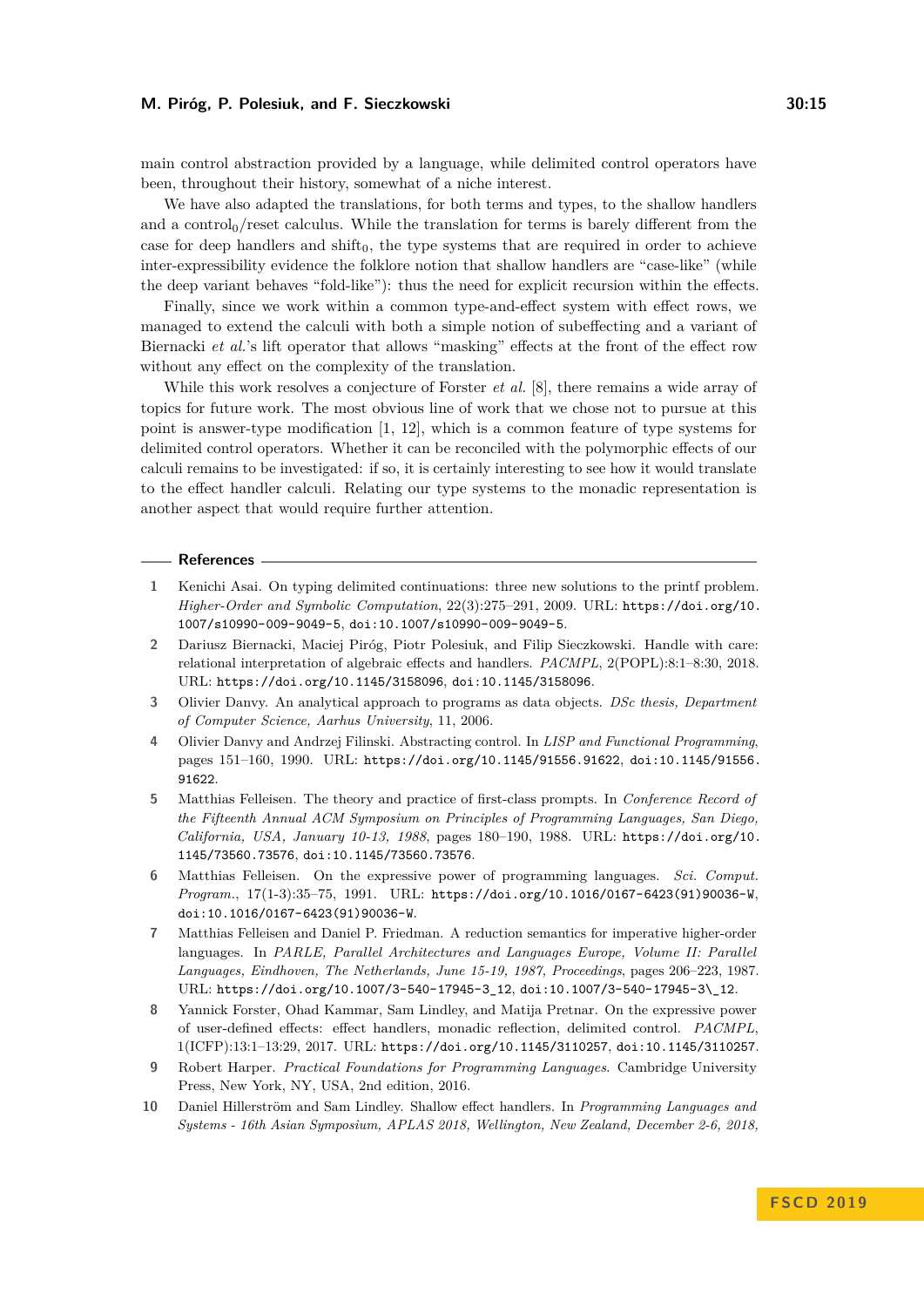main control abstraction provided by a language, while delimited control operators have been, throughout their history, somewhat of a niche interest.

We have also adapted the translations, for both terms and types, to the shallow handlers and a control $<sub>0</sub>$ /reset calculus. While the translation for terms is barely different from the</sub> case for deep handlers and  $\text{shift}_0$ , the type systems that are required in order to achieve inter-expressibility evidence the folklore notion that shallow handlers are "case-like" (while the deep variant behaves "fold-like"): thus the need for explicit recursion within the effects.

Finally, since we work within a common type-and-effect system with effect rows, we managed to extend the calculi with both a simple notion of subeffecting and a variant of Biernacki *et al.*'s lift operator that allows "masking" effects at the front of the effect row without any effect on the complexity of the translation.

While this work resolves a conjecture of Forster *et al.* [\[8\]](#page-14-3), there remains a wide array of topics for future work. The most obvious line of work that we chose not to pursue at this point is answer-type modification [\[1,](#page-14-9) [12\]](#page-15-13), which is a common feature of type systems for delimited control operators. Whether it can be reconciled with the polymorphic effects of our calculi remains to be investigated: if so, it is certainly interesting to see how it would translate to the effect handler calculi. Relating our type systems to the monadic representation is another aspect that would require further attention.

#### **References**

- <span id="page-14-9"></span>**1** Kenichi Asai. On typing delimited continuations: three new solutions to the printf problem. *Higher-Order and Symbolic Computation*, 22(3):275–291, 2009. URL: [https://doi.org/10.](https://doi.org/10.1007/s10990-009-9049-5) [1007/s10990-009-9049-5](https://doi.org/10.1007/s10990-009-9049-5), [doi:10.1007/s10990-009-9049-5](http://dx.doi.org/10.1007/s10990-009-9049-5).
- <span id="page-14-5"></span>**2** Dariusz Biernacki, Maciej Piróg, Piotr Polesiuk, and Filip Sieczkowski. Handle with care: relational interpretation of algebraic effects and handlers. *PACMPL*, 2(POPL):8:1–8:30, 2018. URL: <https://doi.org/10.1145/3158096>, [doi:10.1145/3158096](http://dx.doi.org/10.1145/3158096).
- <span id="page-14-2"></span>**3** Olivier Danvy. An analytical approach to programs as data objects. *DSc thesis, Department of Computer Science, Aarhus University*, 11, 2006.
- <span id="page-14-1"></span>**4** Olivier Danvy and Andrzej Filinski. Abstracting control. In *LISP and Functional Programming*, pages 151–160, 1990. URL: <https://doi.org/10.1145/91556.91622>, [doi:10.1145/91556.](http://dx.doi.org/10.1145/91556.91622) [91622](http://dx.doi.org/10.1145/91556.91622).
- <span id="page-14-0"></span>**5** Matthias Felleisen. The theory and practice of first-class prompts. In *Conference Record of the Fifteenth Annual ACM Symposium on Principles of Programming Languages, San Diego, California, USA, January 10-13, 1988*, pages 180–190, 1988. URL: [https://doi.org/10.](https://doi.org/10.1145/73560.73576) [1145/73560.73576](https://doi.org/10.1145/73560.73576), [doi:10.1145/73560.73576](http://dx.doi.org/10.1145/73560.73576).
- <span id="page-14-4"></span>**6** Matthias Felleisen. On the expressive power of programming languages. *Sci. Comput. Program.*, 17(1-3):35–75, 1991. URL: [https://doi.org/10.1016/0167-6423\(91\)90036-W](https://doi.org/10.1016/0167-6423(91)90036-W), [doi:10.1016/0167-6423\(91\)90036-W](http://dx.doi.org/10.1016/0167-6423(91)90036-W).
- <span id="page-14-6"></span>**7** Matthias Felleisen and Daniel P. Friedman. A reduction semantics for imperative higher-order languages. In *PARLE, Parallel Architectures and Languages Europe, Volume II: Parallel Languages, Eindhoven, The Netherlands, June 15-19, 1987, Proceedings*, pages 206–223, 1987. URL: [https://doi.org/10.1007/3-540-17945-3\\_12](https://doi.org/10.1007/3-540-17945-3_12), [doi:10.1007/3-540-17945-3\\\_12](http://dx.doi.org/10.1007/3-540-17945-3_12).
- <span id="page-14-3"></span>**8** Yannick Forster, Ohad Kammar, Sam Lindley, and Matija Pretnar. On the expressive power of user-defined effects: effect handlers, monadic reflection, delimited control. *PACMPL*, 1(ICFP):13:1–13:29, 2017. URL: <https://doi.org/10.1145/3110257>, [doi:10.1145/3110257](http://dx.doi.org/10.1145/3110257).
- <span id="page-14-7"></span>**9** Robert Harper. *Practical Foundations for Programming Languages*. Cambridge University Press, New York, NY, USA, 2nd edition, 2016.
- <span id="page-14-8"></span>**10** Daniel Hillerström and Sam Lindley. Shallow effect handlers. In *Programming Languages and Systems - 16th Asian Symposium, APLAS 2018, Wellington, New Zealand, December 2-6, 2018,*